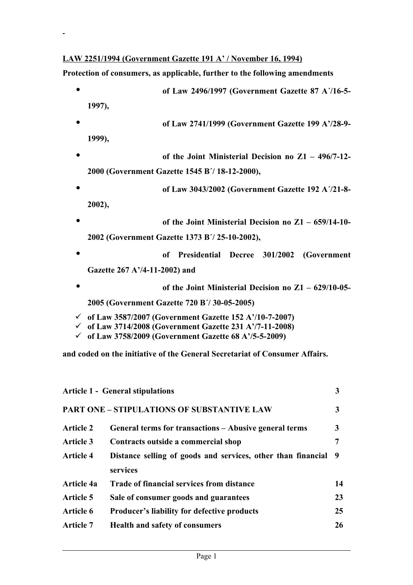## **LAW 2251/1994 (Government Gazette 191 A' / November 16, 1994)**

**Protection of consumers, as applicable, further to the following amendments**

• **of Law 2496/1997 (Government Gazette 87 Α΄/16-5- 1997),**  • **of Law 2741/1999 (Government Gazette 199 Α'/28-9- 1999),**  • **of the Joint Ministerial Decision no Ζ1 – 496/7-12- 2000 (Government Gazette 1545 Β΄/ 18-12-2000),**  • **of Law 3043/2002 (Government Gazette 192 Α΄/21-8- 2002),**  • **of the Joint Ministerial Decision no Ζ1 – 659/14-10- 2002 (Government Gazette 1373 Β΄/ 25-10-2002),**  • **of Presidential Decree 301/2002 (Government Gazette 267 Α'/4-11-2002) and**  • **of the Joint Ministerial Decision no Ζ1 – 629/10-05- 2005 (Government Gazette 720 Β΄/ 30-05-2005) of Law 3587/2007 (Government Gazette 152 Α'/10-7-2007) of Law 3714/2008 (Government Gazette 231 Α'/7-11-2008) of Law 3758/2009 (Government Gazette 68 Α'/5-5-2009)**

**and coded on the initiative of the General Secretariat of Consumer Affairs.** 

| <b>Article 1 - General stipulations</b> |                                                                | 3  |
|-----------------------------------------|----------------------------------------------------------------|----|
|                                         | <b>PART ONE - STIPULATIONS OF SUBSTANTIVE LAW</b>              | 3  |
| <b>Article 2</b>                        | General terms for transactions – Abusive general terms         | 3  |
| <b>Article 3</b>                        | Contracts outside a commercial shop                            | 7  |
| <b>Article 4</b>                        | Distance selling of goods and services, other than financial 9 |    |
|                                         | services                                                       |    |
| <b>Article 4a</b>                       | <b>Trade of financial services from distance</b>               | 14 |
| <b>Article 5</b>                        | Sale of consumer goods and guarantees                          | 23 |
| <b>Article 6</b>                        | <b>Producer's liability for defective products</b>             | 25 |
| <b>Article 7</b>                        | <b>Health and safety of consumers</b>                          | 26 |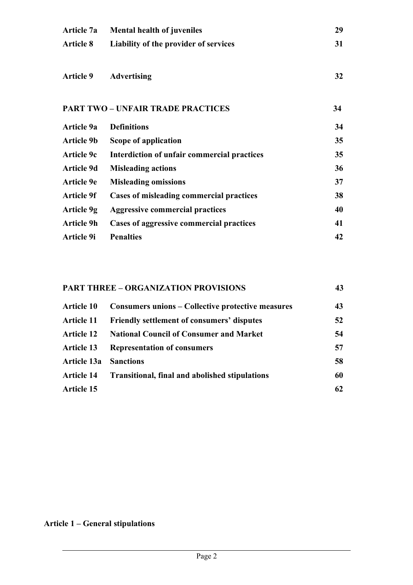| <b>Mental health of juveniles</b>               | 29 |
|-------------------------------------------------|----|
| Liability of the provider of services           | 31 |
| <b>Advertising</b>                              | 32 |
| <b>PART TWO - UNFAIR TRADE PRACTICES</b>        |    |
| <b>Definitions</b>                              | 34 |
| Scope of application                            | 35 |
| Interdiction of unfair commercial practices     | 35 |
| <b>Misleading actions</b>                       | 36 |
| <b>Misleading omissions</b>                     | 37 |
| <b>Cases of misleading commercial practices</b> | 38 |
| <b>Aggressive commercial practices</b>          | 40 |
| Cases of aggressive commercial practices        | 41 |
| <b>Penalties</b>                                | 42 |
|                                                 |    |

# **PART THREE – ORGANIZATION PROVISIONS 43 Article 10 Consumers unions – Collective protective measures 43 Article 11 Friendly settlement of consumers' disputes 52 Article 12 National Council of Consumer and Market 54 Article 13 Representation of consumers 57 Article 13a Sanctions 58 Article 14 Transitional, final and abolished stipulations 60 Article 15 62**

# **Article 1 – General stipulations**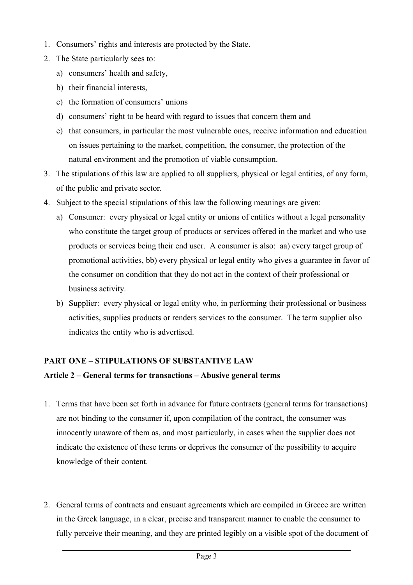- 1. Consumers' rights and interests are protected by the State.
- 2. The State particularly sees to:
	- a) consumers' health and safety,
	- b) their financial interests,
	- c) the formation of consumers' unions
	- d) consumers' right to be heard with regard to issues that concern them and
	- e) that consumers, in particular the most vulnerable ones, receive information and education on issues pertaining to the market, competition, the consumer, the protection of the natural environment and the promotion of viable consumption.
- 3. The stipulations of this law are applied to all suppliers, physical or legal entities, of any form, of the public and private sector.
- 4. Subject to the special stipulations of this law the following meanings are given:
	- a) Consumer: every physical or legal entity or unions of entities without a legal personality who constitute the target group of products or services offered in the market and who use products or services being their end user. A consumer is also: aa) every target group of promotional activities, bb) every physical or legal entity who gives a guarantee in favor of the consumer on condition that they do not act in the context of their professional or business activity.
	- b) Supplier: every physical or legal entity who, in performing their professional or business activities, supplies products or renders services to the consumer. The term supplier also indicates the entity who is advertised.

## **PART ONE – STIPULATIONS OF SUBSTANTIVE LAW**

## **Article 2 – General terms for transactions – Abusive general terms**

- 1. Terms that have been set forth in advance for future contracts (general terms for transactions) are not binding to the consumer if, upon compilation of the contract, the consumer was innocently unaware of them as, and most particularly, in cases when the supplier does not indicate the existence of these terms or deprives the consumer of the possibility to acquire knowledge of their content.
- 2. General terms of contracts and ensuant agreements which are compiled in Greece are written in the Greek language, in a clear, precise and transparent manner to enable the consumer to fully perceive their meaning, and they are printed legibly on a visible spot of the document of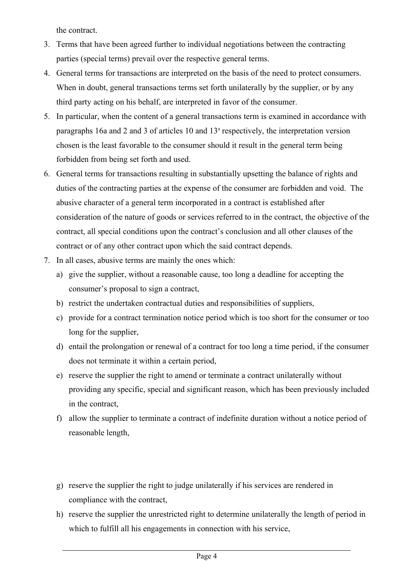the contract.

- 3. Terms that have been agreed further to individual negotiations between the contracting parties (special terms) prevail over the respective general terms.
- 4. General terms for transactions are interpreted on the basis of the need to protect consumers. When in doubt, general transactions terms set forth unilaterally by the supplier, or by any third party acting on his behalf, are interpreted in favor of the consumer.
- 5. In particular, when the content of a general transactions term is examined in accordance with paragraphs 16a and 2 and 3 of articles 10 and 13<sup>ª</sup> respectively, the interpretation version chosen is the least favorable to the consumer should it result in the general term being forbidden from being set forth and used.
- 6. General terms for transactions resulting in substantially upsetting the balance of rights and duties of the contracting parties at the expense of the consumer are forbidden and void. The abusive character of a general term incorporated in a contract is established after consideration of the nature of goods or services referred to in the contract, the objective of the contract, all special conditions upon the contract's conclusion and all other clauses of the contract or of any other contract upon which the said contract depends.
- 7. In all cases, abusive terms are mainly the ones which:
	- a) give the supplier, without a reasonable cause, too long a deadline for accepting the consumer's proposal to sign a contract,
	- b) restrict the undertaken contractual duties and responsibilities of suppliers,
	- c) provide for a contract termination notice period which is too short for the consumer or too long for the supplier,
	- d) entail the prolongation or renewal of a contract for too long a time period, if the consumer does not terminate it within a certain period,
	- e) reserve the supplier the right to amend or terminate a contract unilaterally without providing any specific, special and significant reason, which has been previously included in the contract,
	- f) allow the supplier to terminate a contract of indefinite duration without a notice period of reasonable length,
	- g) reserve the supplier the right to judge unilaterally if his services are rendered in compliance with the contract,
	- h) reserve the supplier the unrestricted right to determine unilaterally the length of period in which to fulfill all his engagements in connection with his service,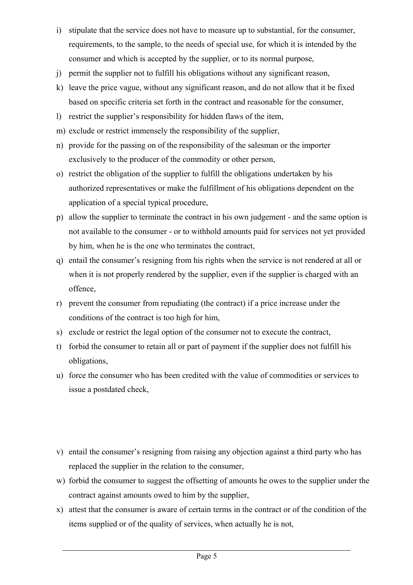- i) stipulate that the service does not have to measure up to substantial, for the consumer, requirements, to the sample, to the needs of special use, for which it is intended by the consumer and which is accepted by the supplier, or to its normal purpose,
- j) permit the supplier not to fulfill his obligations without any significant reason,
- k) leave the price vague, without any significant reason, and do not allow that it be fixed based on specific criteria set forth in the contract and reasonable for the consumer,
- l) restrict the supplier's responsibility for hidden flaws of the item,
- m) exclude or restrict immensely the responsibility of the supplier,
- n) provide for the passing on of the responsibility of the salesman or the importer exclusively to the producer of the commodity or other person,
- o) restrict the obligation of the supplier to fulfill the obligations undertaken by his authorized representatives or make the fulfillment of his obligations dependent on the application of a special typical procedure,
- p) allow the supplier to terminate the contract in his own judgement and the same option is not available to the consumer - or to withhold amounts paid for services not yet provided by him, when he is the one who terminates the contract,
- q) entail the consumer's resigning from his rights when the service is not rendered at all or when it is not properly rendered by the supplier, even if the supplier is charged with an offence,
- r) prevent the consumer from repudiating (the contract) if a price increase under the conditions of the contract is too high for him,
- s) exclude or restrict the legal option of the consumer not to execute the contract,
- t) forbid the consumer to retain all or part of payment if the supplier does not fulfill his obligations,
- u) force the consumer who has been credited with the value of commodities or services to issue a postdated check,
- v) entail the consumer's resigning from raising any objection against a third party who has replaced the supplier in the relation to the consumer,
- w) forbid the consumer to suggest the offsetting of amounts he owes to the supplier under the contract against amounts owed to him by the supplier,
- x) attest that the consumer is aware of certain terms in the contract or of the condition of the items supplied or of the quality of services, when actually he is not,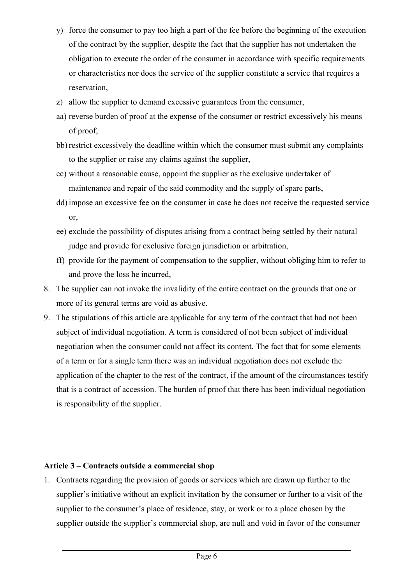- y) force the consumer to pay too high a part of the fee before the beginning of the execution of the contract by the supplier, despite the fact that the supplier has not undertaken the obligation to execute the order of the consumer in accordance with specific requirements or characteristics nor does the service of the supplier constitute a service that requires a reservation,
- z) allow the supplier to demand excessive guarantees from the consumer,
- aa) reverse burden of proof at the expense of the consumer or restrict excessively his means of proof,
- bb) restrict excessively the deadline within which the consumer must submit any complaints to the supplier or raise any claims against the supplier,
- cc) without a reasonable cause, appoint the supplier as the exclusive undertaker of maintenance and repair of the said commodity and the supply of spare parts,
- dd) impose an excessive fee on the consumer in case he does not receive the requested service or,
- ee) exclude the possibility of disputes arising from a contract being settled by their natural judge and provide for exclusive foreign jurisdiction or arbitration,
- ff) provide for the payment of compensation to the supplier, without obliging him to refer to and prove the loss he incurred,
- 8. The supplier can not invoke the invalidity of the entire contract on the grounds that one or more of its general terms are void as abusive.
- 9. The stipulations of this article are applicable for any term of the contract that had not been subject of individual negotiation. A term is considered of not been subject of individual negotiation when the consumer could not affect its content. The fact that for some elements of a term or for a single term there was an individual negotiation does not exclude the application of the chapter to the rest of the contract, if the amount of the circumstances testify that is a contract of accession. The burden of proof that there has been individual negotiation is responsibility of the supplier.

## **Article 3 – Contracts outside a commercial shop**

1. Contracts regarding the provision of goods or services which are drawn up further to the supplier's initiative without an explicit invitation by the consumer or further to a visit of the supplier to the consumer's place of residence, stay, or work or to a place chosen by the supplier outside the supplier's commercial shop, are null and void in favor of the consumer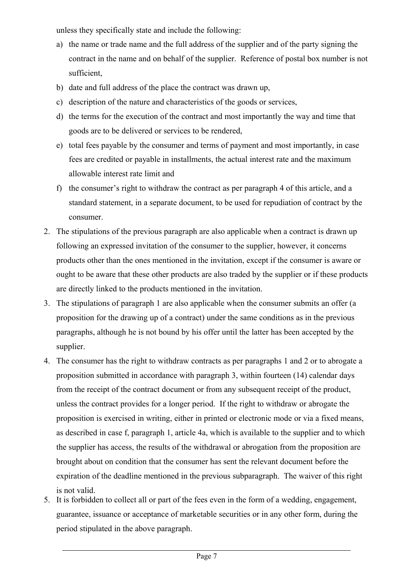unless they specifically state and include the following:

- a) the name or trade name and the full address of the supplier and of the party signing the contract in the name and on behalf of the supplier. Reference of postal box number is not sufficient,
- b) date and full address of the place the contract was drawn up,
- c) description of the nature and characteristics of the goods or services,
- d) the terms for the execution of the contract and most importantly the way and time that goods are to be delivered or services to be rendered,
- e) total fees payable by the consumer and terms of payment and most importantly, in case fees are credited or payable in installments, the actual interest rate and the maximum allowable interest rate limit and
- f) the consumer's right to withdraw the contract as per paragraph 4 of this article, and a standard statement, in a separate document, to be used for repudiation of contract by the consumer.
- 2. The stipulations of the previous paragraph are also applicable when a contract is drawn up following an expressed invitation of the consumer to the supplier, however, it concerns products other than the ones mentioned in the invitation, except if the consumer is aware or ought to be aware that these other products are also traded by the supplier or if these products are directly linked to the products mentioned in the invitation.
- 3. The stipulations of paragraph 1 are also applicable when the consumer submits an offer (a proposition for the drawing up of a contract) under the same conditions as in the previous paragraphs, although he is not bound by his offer until the latter has been accepted by the supplier.
- 4. The consumer has the right to withdraw contracts as per paragraphs 1 and 2 or to abrogate a proposition submitted in accordance with paragraph 3, within fourteen (14) calendar days from the receipt of the contract document or from any subsequent receipt of the product, unless the contract provides for a longer period. If the right to withdraw or abrogate the proposition is exercised in writing, either in printed or electronic mode or via a fixed means, as described in case f, paragraph 1, article 4a, which is available to the supplier and to which the supplier has access, the results of the withdrawal or abrogation from the proposition are brought about on condition that the consumer has sent the relevant document before the expiration of the deadline mentioned in the previous subparagraph. The waiver of this right is not valid.
- 5. It is forbidden to collect all or part of the fees even in the form of a wedding, engagement, guarantee, issuance or acceptance of marketable securities or in any other form, during the period stipulated in the above paragraph.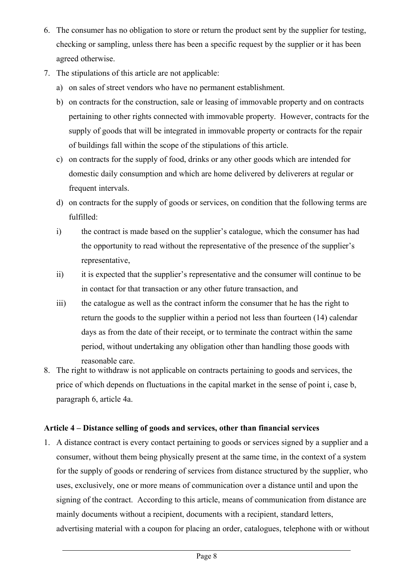- 6. The consumer has no obligation to store or return the product sent by the supplier for testing, checking or sampling, unless there has been a specific request by the supplier or it has been agreed otherwise.
- 7. The stipulations of this article are not applicable:
	- a) on sales of street vendors who have no permanent establishment.
	- b) on contracts for the construction, sale or leasing of immovable property and on contracts pertaining to other rights connected with immovable property. However, contracts for the supply of goods that will be integrated in immovable property or contracts for the repair of buildings fall within the scope of the stipulations of this article.
	- c) on contracts for the supply of food, drinks or any other goods which are intended for domestic daily consumption and which are home delivered by deliverers at regular or frequent intervals.
	- d) on contracts for the supply of goods or services, on condition that the following terms are fulfilled:
	- i) the contract is made based on the supplier's catalogue, which the consumer has had the opportunity to read without the representative of the presence of the supplier's representative,
	- ii) it is expected that the supplier's representative and the consumer will continue to be in contact for that transaction or any other future transaction, and
	- iii) the catalogue as well as the contract inform the consumer that he has the right to return the goods to the supplier within a period not less than fourteen (14) calendar days as from the date of their receipt, or to terminate the contract within the same period, without undertaking any obligation other than handling those goods with reasonable care.
- 8. The right to withdraw is not applicable on contracts pertaining to goods and services, the price of which depends on fluctuations in the capital market in the sense of point i, case b, paragraph 6, article 4a.

## **Article 4 – Distance selling of goods and services, other than financial services**

1. A distance contract is every contact pertaining to goods or services signed by a supplier and a consumer, without them being physically present at the same time, in the context of a system for the supply of goods or rendering of services from distance structured by the supplier, who uses, exclusively, one or more means of communication over a distance until and upon the signing of the contract. According to this article, means of communication from distance are mainly documents without a recipient, documents with a recipient, standard letters, advertising material with a coupon for placing an order, catalogues, telephone with or without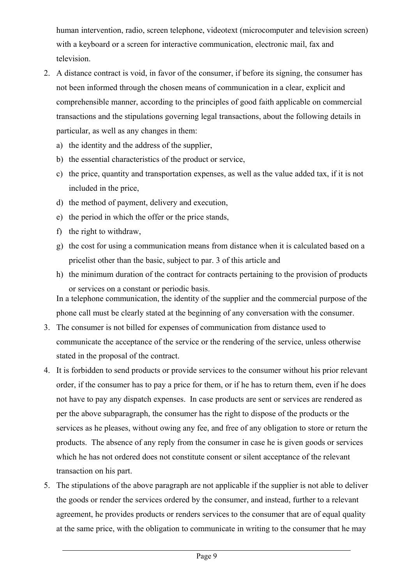human intervention, radio, screen telephone, videotext (microcomputer and television screen) with a keyboard or a screen for interactive communication, electronic mail, fax and television.

- 2. A distance contract is void, in favor of the consumer, if before its signing, the consumer has not been informed through the chosen means of communication in a clear, explicit and comprehensible manner, according to the principles of good faith applicable on commercial transactions and the stipulations governing legal transactions, about the following details in particular, as well as any changes in them:
	- a) the identity and the address of the supplier,
	- b) the essential characteristics of the product or service,
	- c) the price, quantity and transportation expenses, as well as the value added tax, if it is not included in the price,
	- d) the method of payment, delivery and execution,
	- e) the period in which the offer or the price stands,
	- f) the right to withdraw,
	- g) the cost for using a communication means from distance when it is calculated based on a pricelist other than the basic, subject to par. 3 of this article and
	- h) the minimum duration of the contract for contracts pertaining to the provision of products or services on a constant or periodic basis.

In a telephone communication, the identity of the supplier and the commercial purpose of the phone call must be clearly stated at the beginning of any conversation with the consumer.

- 3. The consumer is not billed for expenses of communication from distance used to communicate the acceptance of the service or the rendering of the service, unless otherwise stated in the proposal of the contract.
- 4. It is forbidden to send products or provide services to the consumer without his prior relevant order, if the consumer has to pay a price for them, or if he has to return them, even if he does not have to pay any dispatch expenses. In case products are sent or services are rendered as per the above subparagraph, the consumer has the right to dispose of the products or the services as he pleases, without owing any fee, and free of any obligation to store or return the products. The absence of any reply from the consumer in case he is given goods or services which he has not ordered does not constitute consent or silent acceptance of the relevant transaction on his part.
- 5. The stipulations of the above paragraph are not applicable if the supplier is not able to deliver the goods or render the services ordered by the consumer, and instead, further to a relevant agreement, he provides products or renders services to the consumer that are of equal quality at the same price, with the obligation to communicate in writing to the consumer that he may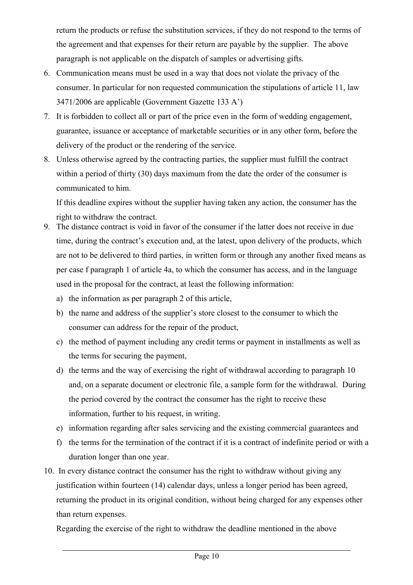return the products or refuse the substitution services, if they do not respond to the terms of the agreement and that expenses for their return are payable by the supplier. The above paragraph is not applicable on the dispatch of samples or advertising gifts.

- 6. Communication means must be used in a way that does not violate the privacy of the consumer. In particular for non requested communication the stipulations of article 11, law 3471/2006 are applicable (Government Gazette 133 Α')
- 7. It is forbidden to collect all or part of the price even in the form of wedding engagement, guarantee, issuance or acceptance of marketable securities or in any other form, before the delivery of the product or the rendering of the service.
- 8. Unless otherwise agreed by the contracting parties, the supplier must fulfill the contract within a period of thirty (30) days maximum from the date the order of the consumer is communicated to him.

If this deadline expires without the supplier having taken any action, the consumer has the right to withdraw the contract.

- 9. The distance contract is void in favor of the consumer if the latter does not receive in due time, during the contract's execution and, at the latest, upon delivery of the products, which are not to be delivered to third parties, in written form or through any another fixed means as per case f paragraph 1 of article 4a, to which the consumer has access, and in the language used in the proposal for the contract, at least the following information:
	- a) the information as per paragraph 2 of this article,
	- b) the name and address of the supplier's store closest to the consumer to which the consumer can address for the repair of the product,
	- c) the method of payment including any credit terms or payment in installments as well as the terms for securing the payment,
	- d) the terms and the way of exercising the right of withdrawal according to paragraph 10 and, on a separate document or electronic file, a sample form for the withdrawal. During the period covered by the contract the consumer has the right to receive these information, further to his request, in writing.
	- e) information regarding after sales servicing and the existing commercial guarantees and
	- f) the terms for the termination of the contract if it is a contract of indefinite period or with a duration longer than one year.
- 10. In every distance contract the consumer has the right to withdraw without giving any justification within fourteen (14) calendar days, unless a longer period has been agreed, returning the product in its original condition, without being charged for any expenses other than return expenses.

Regarding the exercise of the right to withdraw the deadline mentioned in the above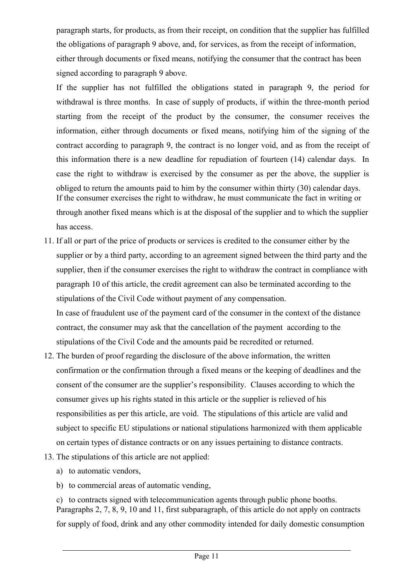paragraph starts, for products, as from their receipt, on condition that the supplier has fulfilled the obligations of paragraph 9 above, and, for services, as from the receipt of information, either through documents or fixed means, notifying the consumer that the contract has been signed according to paragraph 9 above.

If the supplier has not fulfilled the obligations stated in paragraph 9, the period for withdrawal is three months. In case of supply of products, if within the three-month period starting from the receipt of the product by the consumer, the consumer receives the information, either through documents or fixed means, notifying him of the signing of the contract according to paragraph 9, the contract is no longer void, and as from the receipt of this information there is a new deadline for repudiation of fourteen (14) calendar days. In case the right to withdraw is exercised by the consumer as per the above, the supplier is obliged to return the amounts paid to him by the consumer within thirty (30) calendar days. If the consumer exercises the right to withdraw, he must communicate the fact in writing or through another fixed means which is at the disposal of the supplier and to which the supplier has access.

- 11. If all or part of the price of products or services is credited to the consumer either by the supplier or by a third party, according to an agreement signed between the third party and the supplier, then if the consumer exercises the right to withdraw the contract in compliance with paragraph 10 of this article, the credit agreement can also be terminated according to the stipulations of the Civil Code without payment of any compensation. In case of fraudulent use of the payment card of the consumer in the context of the distance contract, the consumer may ask that the cancellation of the payment according to the
- 12. The burden of proof regarding the disclosure of the above information, the written confirmation or the confirmation through a fixed means or the keeping of deadlines and the consent of the consumer are the supplier's responsibility. Clauses according to which the consumer gives up his rights stated in this article or the supplier is relieved of his responsibilities as per this article, are void. The stipulations of this article are valid and subject to specific EU stipulations or national stipulations harmonized with them applicable on certain types of distance contracts or on any issues pertaining to distance contracts.

stipulations of the Civil Code and the amounts paid be recredited or returned.

- 13. The stipulations of this article are not applied:
	- a) to automatic vendors,
	- b) to commercial areas of automatic vending,

c) to contracts signed with telecommunication agents through public phone booths. Paragraphs 2, 7, 8, 9, 10 and 11, first subparagraph, of this article do not apply on contracts for supply of food, drink and any other commodity intended for daily domestic consumption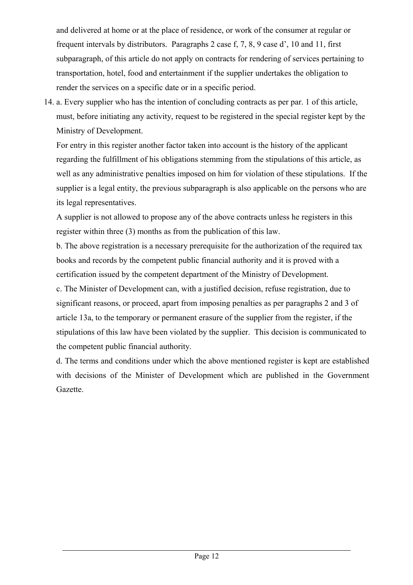and delivered at home or at the place of residence, or work of the consumer at regular or frequent intervals by distributors. Paragraphs 2 case f, 7, 8, 9 case d', 10 and 11, first subparagraph, of this article do not apply on contracts for rendering of services pertaining to transportation, hotel, food and entertainment if the supplier undertakes the obligation to render the services on a specific date or in a specific period.

14. a. Every supplier who has the intention of concluding contracts as per par. 1 of this article, must, before initiating any activity, request to be registered in the special register kept by the Ministry of Development.

For entry in this register another factor taken into account is the history of the applicant regarding the fulfillment of his obligations stemming from the stipulations of this article, as well as any administrative penalties imposed on him for violation of these stipulations. If the supplier is a legal entity, the previous subparagraph is also applicable on the persons who are its legal representatives.

A supplier is not allowed to propose any of the above contracts unless he registers in this register within three (3) months as from the publication of this law.

b. The above registration is a necessary prerequisite for the authorization of the required tax books and records by the competent public financial authority and it is proved with a certification issued by the competent department of the Ministry of Development.

c. The Minister of Development can, with a justified decision, refuse registration, due to significant reasons, or proceed, apart from imposing penalties as per paragraphs 2 and 3 of article 13a, to the temporary or permanent erasure of the supplier from the register, if the stipulations of this law have been violated by the supplier. This decision is communicated to the competent public financial authority.

d. The terms and conditions under which the above mentioned register is kept are established with decisions of the Minister of Development which are published in the Government Gazette.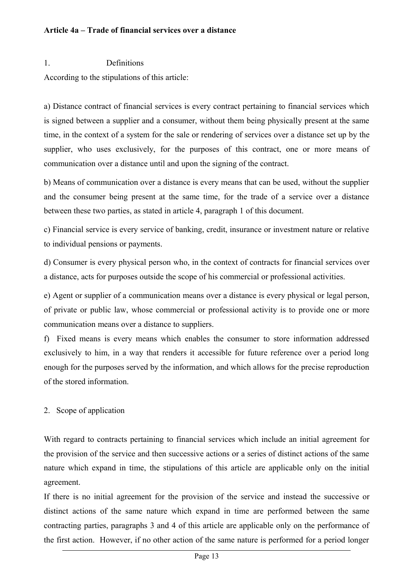#### **Article 4a – Trade of financial services over a distance**

#### 1. Definitions

According to the stipulations of this article:

a) Distance contract of financial services is every contract pertaining to financial services which is signed between a supplier and a consumer, without them being physically present at the same time, in the context of a system for the sale or rendering of services over a distance set up by the supplier, who uses exclusively, for the purposes of this contract, one or more means of communication over a distance until and upon the signing of the contract.

b) Means of communication over a distance is every means that can be used, without the supplier and the consumer being present at the same time, for the trade of a service over a distance between these two parties, as stated in article 4, paragraph 1 of this document.

c) Financial service is every service of banking, credit, insurance or investment nature or relative to individual pensions or payments.

d) Consumer is every physical person who, in the context of contracts for financial services over a distance, acts for purposes outside the scope of his commercial or professional activities.

e) Agent or supplier of a communication means over a distance is every physical or legal person, of private or public law, whose commercial or professional activity is to provide one or more communication means over a distance to suppliers.

f) Fixed means is every means which enables the consumer to store information addressed exclusively to him, in a way that renders it accessible for future reference over a period long enough for the purposes served by the information, and which allows for the precise reproduction of the stored information.

#### 2. Scope of application

With regard to contracts pertaining to financial services which include an initial agreement for the provision of the service and then successive actions or a series of distinct actions of the same nature which expand in time, the stipulations of this article are applicable only on the initial agreement.

If there is no initial agreement for the provision of the service and instead the successive or distinct actions of the same nature which expand in time are performed between the same contracting parties, paragraphs 3 and 4 of this article are applicable only on the performance of the first action. However, if no other action of the same nature is performed for a period longer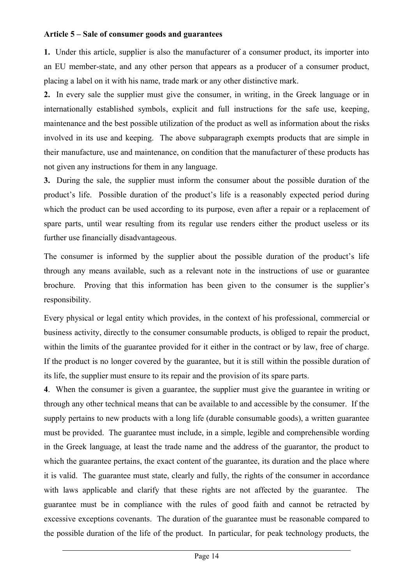#### **Article 5 – Sale of consumer goods and guarantees**

**1.** Under this article, supplier is also the manufacturer of a consumer product, its importer into an EU member-state, and any other person that appears as a producer of a consumer product, placing a label on it with his name, trade mark or any other distinctive mark.

**2.** In every sale the supplier must give the consumer, in writing, in the Greek language or in internationally established symbols, explicit and full instructions for the safe use, keeping, maintenance and the best possible utilization of the product as well as information about the risks involved in its use and keeping. The above subparagraph exempts products that are simple in their manufacture, use and maintenance, on condition that the manufacturer of these products has not given any instructions for them in any language.

**3.** During the sale, the supplier must inform the consumer about the possible duration of the product's life. Possible duration of the product's life is a reasonably expected period during which the product can be used according to its purpose, even after a repair or a replacement of spare parts, until wear resulting from its regular use renders either the product useless or its further use financially disadvantageous.

The consumer is informed by the supplier about the possible duration of the product's life through any means available, such as a relevant note in the instructions of use or guarantee brochure. Proving that this information has been given to the consumer is the supplier's responsibility.

Every physical or legal entity which provides, in the context of his professional, commercial or business activity, directly to the consumer consumable products, is obliged to repair the product, within the limits of the guarantee provided for it either in the contract or by law, free of charge. If the product is no longer covered by the guarantee, but it is still within the possible duration of its life, the supplier must ensure to its repair and the provision of its spare parts.

**4**. When the consumer is given a guarantee, the supplier must give the guarantee in writing or through any other technical means that can be available to and accessible by the consumer. If the supply pertains to new products with a long life (durable consumable goods), a written guarantee must be provided. The guarantee must include, in a simple, legible and comprehensible wording in the Greek language, at least the trade name and the address of the guarantor, the product to which the guarantee pertains, the exact content of the guarantee, its duration and the place where it is valid. The guarantee must state, clearly and fully, the rights of the consumer in accordance with laws applicable and clarify that these rights are not affected by the guarantee. The guarantee must be in compliance with the rules of good faith and cannot be retracted by excessive exceptions covenants. The duration of the guarantee must be reasonable compared to the possible duration of the life of the product. In particular, for peak technology products, the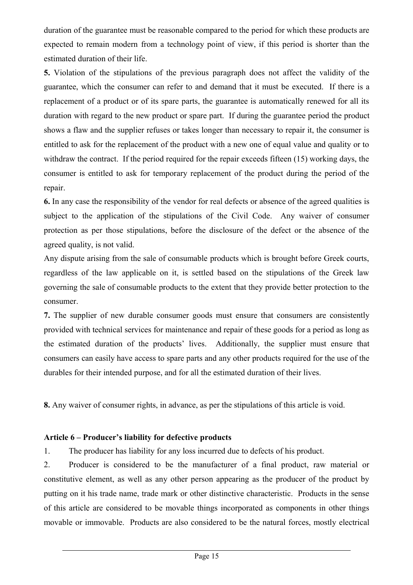duration of the guarantee must be reasonable compared to the period for which these products are expected to remain modern from a technology point of view, if this period is shorter than the estimated duration of their life.

**5.** Violation of the stipulations of the previous paragraph does not affect the validity of the guarantee, which the consumer can refer to and demand that it must be executed. If there is a replacement of a product or of its spare parts, the guarantee is automatically renewed for all its duration with regard to the new product or spare part. If during the guarantee period the product shows a flaw and the supplier refuses or takes longer than necessary to repair it, the consumer is entitled to ask for the replacement of the product with a new one of equal value and quality or to withdraw the contract. If the period required for the repair exceeds fifteen (15) working days, the consumer is entitled to ask for temporary replacement of the product during the period of the repair.

**6.** In any case the responsibility of the vendor for real defects or absence of the agreed qualities is subject to the application of the stipulations of the Civil Code. Any waiver of consumer protection as per those stipulations, before the disclosure of the defect or the absence of the agreed quality, is not valid.

Any dispute arising from the sale of consumable products which is brought before Greek courts, regardless of the law applicable on it, is settled based on the stipulations of the Greek law governing the sale of consumable products to the extent that they provide better protection to the consumer.

**7.** The supplier of new durable consumer goods must ensure that consumers are consistently provided with technical services for maintenance and repair of these goods for a period as long as the estimated duration of the products' lives. Additionally, the supplier must ensure that consumers can easily have access to spare parts and any other products required for the use of the durables for their intended purpose, and for all the estimated duration of their lives.

**8.** Any waiver of consumer rights, in advance, as per the stipulations of this article is void.

# **Article 6 – Producer's liability for defective products**

1. The producer has liability for any loss incurred due to defects of his product.

2. Producer is considered to be the manufacturer of a final product, raw material or constitutive element, as well as any other person appearing as the producer of the product by putting on it his trade name, trade mark or other distinctive characteristic. Products in the sense of this article are considered to be movable things incorporated as components in other things movable or immovable. Products are also considered to be the natural forces, mostly electrical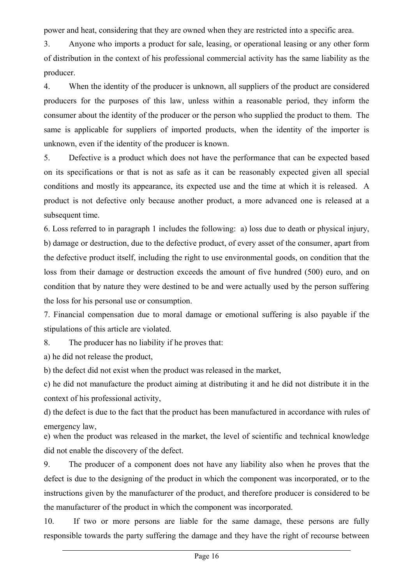power and heat, considering that they are owned when they are restricted into a specific area.

3. Anyone who imports a product for sale, leasing, or operational leasing or any other form of distribution in the context of his professional commercial activity has the same liability as the producer.

4. When the identity of the producer is unknown, all suppliers of the product are considered producers for the purposes of this law, unless within a reasonable period, they inform the consumer about the identity of the producer or the person who supplied the product to them. The same is applicable for suppliers of imported products, when the identity of the importer is unknown, even if the identity of the producer is known.

5. Defective is a product which does not have the performance that can be expected based on its specifications or that is not as safe as it can be reasonably expected given all special conditions and mostly its appearance, its expected use and the time at which it is released. A product is not defective only because another product, a more advanced one is released at a subsequent time.

6. Loss referred to in paragraph 1 includes the following: a) loss due to death or physical injury, b) damage or destruction, due to the defective product, of every asset of the consumer, apart from the defective product itself, including the right to use environmental goods, on condition that the loss from their damage or destruction exceeds the amount of five hundred (500) euro, and on condition that by nature they were destined to be and were actually used by the person suffering the loss for his personal use or consumption.

7. Financial compensation due to moral damage or emotional suffering is also payable if the stipulations of this article are violated.

8. The producer has no liability if he proves that:

a) he did not release the product,

b) the defect did not exist when the product was released in the market,

c) he did not manufacture the product aiming at distributing it and he did not distribute it in the context of his professional activity,

d) the defect is due to the fact that the product has been manufactured in accordance with rules of emergency law,

e) when the product was released in the market, the level of scientific and technical knowledge did not enable the discovery of the defect.

9. The producer of a component does not have any liability also when he proves that the defect is due to the designing of the product in which the component was incorporated, or to the instructions given by the manufacturer of the product, and therefore producer is considered to be the manufacturer of the product in which the component was incorporated.

10. If two or more persons are liable for the same damage, these persons are fully responsible towards the party suffering the damage and they have the right of recourse between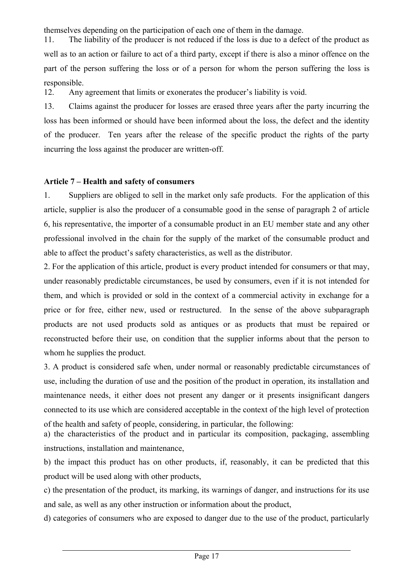themselves depending on the participation of each one of them in the damage.

11. The liability of the producer is not reduced if the loss is due to a defect of the product as well as to an action or failure to act of a third party, except if there is also a minor offence on the part of the person suffering the loss or of a person for whom the person suffering the loss is responsible.

12. Any agreement that limits or exonerates the producer's liability is void.

13. Claims against the producer for losses are erased three years after the party incurring the loss has been informed or should have been informed about the loss, the defect and the identity of the producer. Ten years after the release of the specific product the rights of the party incurring the loss against the producer are written-off.

## **Article 7 – Health and safety of consumers**

1. Suppliers are obliged to sell in the market only safe products. For the application of this article, supplier is also the producer of a consumable good in the sense of paragraph 2 of article 6, his representative, the importer of a consumable product in an EU member state and any other professional involved in the chain for the supply of the market of the consumable product and able to affect the product's safety characteristics, as well as the distributor.

2. For the application of this article, product is every product intended for consumers or that may, under reasonably predictable circumstances, be used by consumers, even if it is not intended for them, and which is provided or sold in the context of a commercial activity in exchange for a price or for free, either new, used or restructured. In the sense of the above subparagraph products are not used products sold as antiques or as products that must be repaired or reconstructed before their use, on condition that the supplier informs about that the person to whom he supplies the product.

3. A product is considered safe when, under normal or reasonably predictable circumstances of use, including the duration of use and the position of the product in operation, its installation and maintenance needs, it either does not present any danger or it presents insignificant dangers connected to its use which are considered acceptable in the context of the high level of protection of the health and safety of people, considering, in particular, the following:

a) the characteristics of the product and in particular its composition, packaging, assembling instructions, installation and maintenance,

b) the impact this product has on other products, if, reasonably, it can be predicted that this product will be used along with other products,

c) the presentation of the product, its marking, its warnings of danger, and instructions for its use and sale, as well as any other instruction or information about the product,

d) categories of consumers who are exposed to danger due to the use of the product, particularly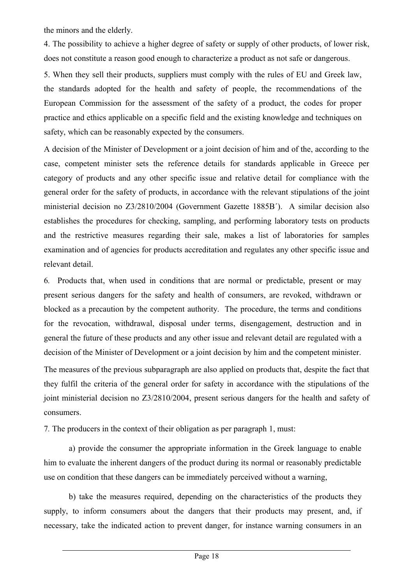the minors and the elderly.

4. The possibility to achieve a higher degree of safety or supply of other products, of lower risk, does not constitute a reason good enough to characterize a product as not safe or dangerous.

5. When they sell their products, suppliers must comply with the rules of EU and Greek law, the standards adopted for the health and safety of people, the recommendations of the European Commission for the assessment of the safety of a product, the codes for proper practice and ethics applicable on a specific field and the existing knowledge and techniques on safety, which can be reasonably expected by the consumers.

A decision of the Minister of Development or a joint decision of him and of the, according to the case, competent minister sets the reference details for standards applicable in Greece per category of products and any other specific issue and relative detail for compliance with the general order for the safety of products, in accordance with the relevant stipulations of the joint ministerial decision no Z3/2810/2004 (Government Gazette 1885B<sup>'</sup>). A similar decision also establishes the procedures for checking, sampling, and performing laboratory tests on products and the restrictive measures regarding their sale, makes a list of laboratories for samples examination and of agencies for products accreditation and regulates any other specific issue and relevant detail.

6*.* Products that, when used in conditions that are normal or predictable, present or may present serious dangers for the safety and health of consumers, are revoked, withdrawn or blocked as a precaution by the competent authority. The procedure, the terms and conditions for the revocation, withdrawal, disposal under terms, disengagement, destruction and in general the future of these products and any other issue and relevant detail are regulated with a decision of the Minister of Development or a joint decision by him and the competent minister.

The measures of the previous subparagraph are also applied on products that, despite the fact that they fulfil the criteria of the general order for safety in accordance with the stipulations of the joint ministerial decision no Ζ3/2810/2004, present serious dangers for the health and safety of consumers.

7*.* The producers in the context of their obligation as per paragraph 1, must:

a) provide the consumer the appropriate information in the Greek language to enable him to evaluate the inherent dangers of the product during its normal or reasonably predictable use on condition that these dangers can be immediately perceived without a warning,

b) take the measures required, depending on the characteristics of the products they supply, to inform consumers about the dangers that their products may present, and, if necessary, take the indicated action to prevent danger, for instance warning consumers in an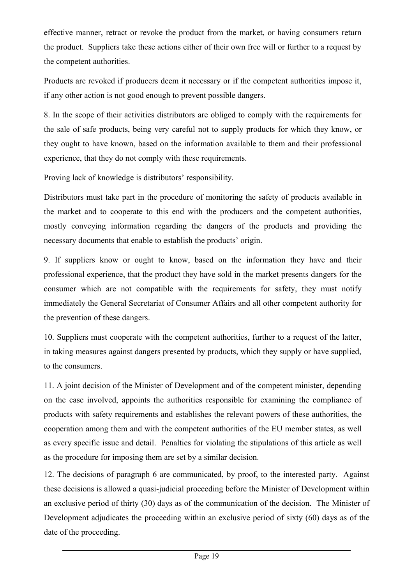effective manner, retract or revoke the product from the market, or having consumers return the product. Suppliers take these actions either of their own free will or further to a request by the competent authorities.

Products are revoked if producers deem it necessary or if the competent authorities impose it, if any other action is not good enough to prevent possible dangers.

8. In the scope of their activities distributors are obliged to comply with the requirements for the sale of safe products, being very careful not to supply products for which they know, or they ought to have known, based on the information available to them and their professional experience, that they do not comply with these requirements.

Proving lack of knowledge is distributors' responsibility.

Distributors must take part in the procedure of monitoring the safety of products available in the market and to cooperate to this end with the producers and the competent authorities, mostly conveying information regarding the dangers of the products and providing the necessary documents that enable to establish the products' origin.

9. If suppliers know or ought to know, based on the information they have and their professional experience, that the product they have sold in the market presents dangers for the consumer which are not compatible with the requirements for safety, they must notify immediately the General Secretariat of Consumer Affairs and all other competent authority for the prevention of these dangers.

10. Suppliers must cooperate with the competent authorities, further to a request of the latter, in taking measures against dangers presented by products, which they supply or have supplied, to the consumers.

11. A joint decision of the Minister of Development and of the competent minister, depending on the case involved, appoints the authorities responsible for examining the compliance of products with safety requirements and establishes the relevant powers of these authorities, the cooperation among them and with the competent authorities of the EU member states, as well as every specific issue and detail. Penalties for violating the stipulations of this article as well as the procedure for imposing them are set by a similar decision.

12. The decisions of paragraph 6 are communicated, by proof, to the interested party. Against these decisions is allowed a quasi-judicial proceeding before the Minister of Development within an exclusive period of thirty (30) days as of the communication of the decision. The Minister of Development adjudicates the proceeding within an exclusive period of sixty (60) days as of the date of the proceeding.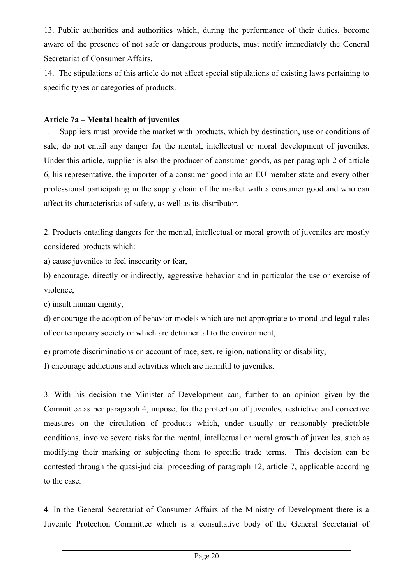13. Public authorities and authorities which, during the performance of their duties, become aware of the presence of not safe or dangerous products, must notify immediately the General Secretariat of Consumer Affairs.

14. The stipulations of this article do not affect special stipulations of existing laws pertaining to specific types or categories of products.

## **Article 7a – Mental health of juveniles**

1. Suppliers must provide the market with products, which by destination, use or conditions of sale, do not entail any danger for the mental, intellectual or moral development of juveniles. Under this article, supplier is also the producer of consumer goods, as per paragraph 2 of article 6, his representative, the importer of a consumer good into an EU member state and every other professional participating in the supply chain of the market with a consumer good and who can affect its characteristics of safety, as well as its distributor.

2. Products entailing dangers for the mental, intellectual or moral growth of juveniles are mostly considered products which:

a) cause juveniles to feel insecurity or fear,

b) encourage, directly or indirectly, aggressive behavior and in particular the use or exercise of violence,

c) insult human dignity,

d) encourage the adoption of behavior models which are not appropriate to moral and legal rules of contemporary society or which are detrimental to the environment,

e) promote discriminations on account of race, sex, religion, nationality or disability,

f) encourage addictions and activities which are harmful to juveniles.

3. With his decision the Minister of Development can, further to an opinion given by the Committee as per paragraph 4, impose, for the protection of juveniles, restrictive and corrective measures on the circulation of products which, under usually or reasonably predictable conditions, involve severe risks for the mental, intellectual or moral growth of juveniles, such as modifying their marking or subjecting them to specific trade terms. This decision can be contested through the quasi-judicial proceeding of paragraph 12, article 7, applicable according to the case.

4. In the General Secretariat of Consumer Affairs of the Ministry of Development there is a Juvenile Protection Committee which is a consultative body of the General Secretariat of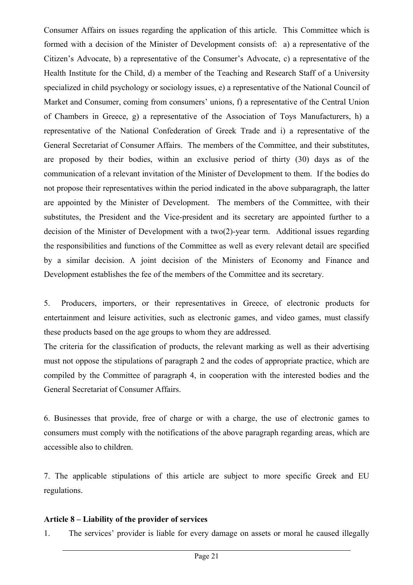Consumer Affairs on issues regarding the application of this article. This Committee which is formed with a decision of the Minister of Development consists of: a) a representative of the Citizen's Advocate, b) a representative of the Consumer's Advocate, c) a representative of the Health Institute for the Child, d) a member of the Teaching and Research Staff of a University specialized in child psychology or sociology issues, e) a representative of the National Council of Market and Consumer, coming from consumers' unions, f) a representative of the Central Union of Chambers in Greece, g) a representative of the Association of Toys Manufacturers, h) a representative of the National Confederation of Greek Trade and i) a representative of the General Secretariat of Consumer Affairs. The members of the Committee, and their substitutes, are proposed by their bodies, within an exclusive period of thirty (30) days as of the communication of a relevant invitation of the Minister of Development to them. If the bodies do not propose their representatives within the period indicated in the above subparagraph, the latter are appointed by the Minister of Development. The members of the Committee, with their substitutes, the President and the Vice-president and its secretary are appointed further to a decision of the Minister of Development with a two(2)-year term. Additional issues regarding the responsibilities and functions of the Committee as well as every relevant detail are specified by a similar decision. A joint decision of the Ministers of Economy and Finance and Development establishes the fee of the members of the Committee and its secretary.

5. Producers, importers, or their representatives in Greece, of electronic products for entertainment and leisure activities, such as electronic games, and video games, must classify these products based on the age groups to whom they are addressed.

The criteria for the classification of products, the relevant marking as well as their advertising must not oppose the stipulations of paragraph 2 and the codes of appropriate practice, which are compiled by the Committee of paragraph 4, in cooperation with the interested bodies and the General Secretariat of Consumer Affairs.

6. Businesses that provide, free of charge or with a charge, the use of electronic games to consumers must comply with the notifications of the above paragraph regarding areas, which are accessible also to children.

7. The applicable stipulations of this article are subject to more specific Greek and EU regulations.

#### **Article 8 – Liability of the provider of services**

1. The services' provider is liable for every damage on assets or moral he caused illegally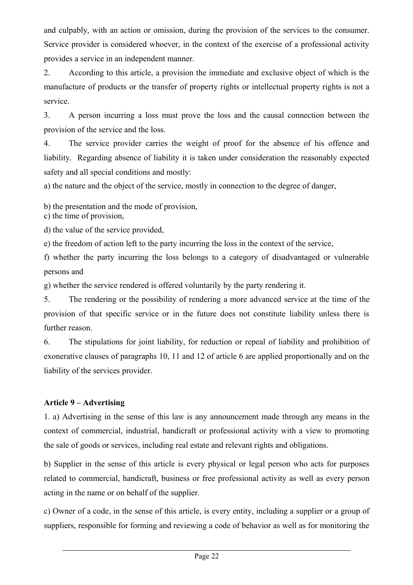and culpably, with an action or omission, during the provision of the services to the consumer. Service provider is considered whoever, in the context of the exercise of a professional activity provides a service in an independent manner.

2. According to this article, a provision the immediate and exclusive object of which is the manufacture of products or the transfer of property rights or intellectual property rights is not a service.

3. A person incurring a loss must prove the loss and the causal connection between the provision of the service and the loss.

4. The service provider carries the weight of proof for the absence of his offence and liability. Regarding absence of liability it is taken under consideration the reasonably expected safety and all special conditions and mostly:

a) the nature and the object of the service, mostly in connection to the degree of danger,

b) the presentation and the mode of provision,

c) the time of provision,

d) the value of the service provided,

e) the freedom of action left to the party incurring the loss in the context of the service,

f) whether the party incurring the loss belongs to a category of disadvantaged or vulnerable persons and

g) whether the service rendered is offered voluntarily by the party rendering it.

5. The rendering or the possibility of rendering a more advanced service at the time of the provision of that specific service or in the future does not constitute liability unless there is further reason.

6. The stipulations for joint liability, for reduction or repeal of liability and prohibition of exonerative clauses of paragraphs 10, 11 and 12 of article 6 are applied proportionally and on the liability of the services provider.

# **Article 9 – Advertising**

1. a) Advertising in the sense of this law is any announcement made through any means in the context of commercial, industrial, handicraft or professional activity with a view to promoting the sale of goods or services, including real estate and relevant rights and obligations.

b) Supplier in the sense of this article is every physical or legal person who acts for purposes related to commercial, handicraft, business or free professional activity as well as every person acting in the name or on behalf of the supplier.

c) Owner of a code, in the sense of this article, is every entity, including a supplier or a group of suppliers, responsible for forming and reviewing a code of behavior as well as for monitoring the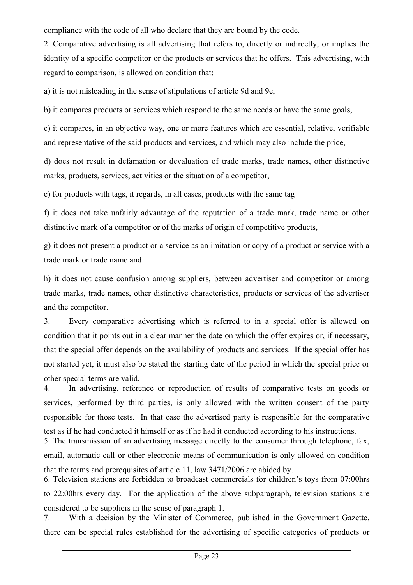compliance with the code of all who declare that they are bound by the code.

2. Comparative advertising is all advertising that refers to, directly or indirectly, or implies the identity of a specific competitor or the products or services that he offers. This advertising, with regard to comparison, is allowed on condition that:

a) it is not misleading in the sense of stipulations of article 9d and 9e,

b) it compares products or services which respond to the same needs or have the same goals,

c) it compares, in an objective way, one or more features which are essential, relative, verifiable and representative of the said products and services, and which may also include the price,

d) does not result in defamation or devaluation of trade marks, trade names, other distinctive marks, products, services, activities or the situation of a competitor,

e) for products with tags, it regards, in all cases, products with the same tag

f) it does not take unfairly advantage of the reputation of a trade mark, trade name or other distinctive mark of a competitor or of the marks of origin of competitive products,

g) it does not present a product or a service as an imitation or copy of a product or service with a trade mark or trade name and

h) it does not cause confusion among suppliers, between advertiser and competitor or among trade marks, trade names, other distinctive characteristics, products or services of the advertiser and the competitor.

3. Every comparative advertising which is referred to in a special offer is allowed on condition that it points out in a clear manner the date on which the offer expires or, if necessary, that the special offer depends on the availability of products and services. If the special offer has not started yet, it must also be stated the starting date of the period in which the special price or other special terms are valid.

4. In advertising, reference or reproduction of results of comparative tests on goods or services, performed by third parties, is only allowed with the written consent of the party responsible for those tests. In that case the advertised party is responsible for the comparative test as if he had conducted it himself or as if he had it conducted according to his instructions.

5. The transmission of an advertising message directly to the consumer through telephone, fax, email, automatic call or other electronic means of communication is only allowed on condition that the terms and prerequisites of article 11, law 3471/2006 are abided by.

6. Television stations are forbidden to broadcast commercials for children's toys from 07:00hrs to 22:00hrs every day. For the application of the above subparagraph, television stations are considered to be suppliers in the sense of paragraph 1.

7. With a decision by the Minister of Commerce, published in the Government Gazette, there can be special rules established for the advertising of specific categories of products or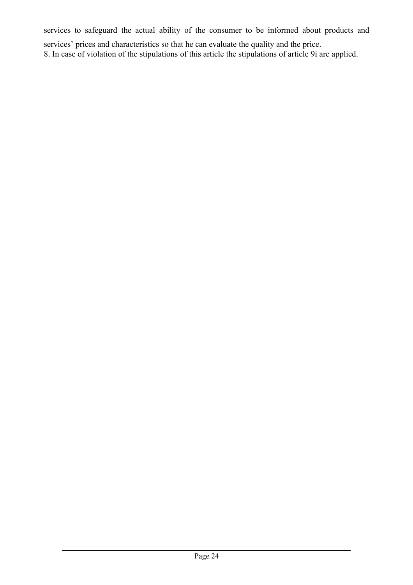services to safeguard the actual ability of the consumer to be informed about products and

services' prices and characteristics so that he can evaluate the quality and the price.

8. In case of violation of the stipulations of this article the stipulations of article 9i are applied.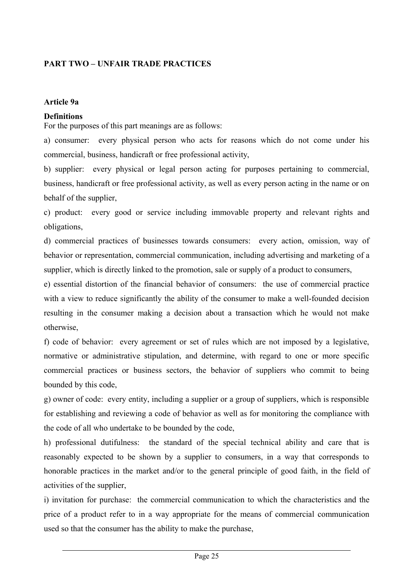# **PART TWO – UNFAIR TRADE PRACTICES**

#### **Article 9a**

#### **Definitions**

For the purposes of this part meanings are as follows:

a) consumer: every physical person who acts for reasons which do not come under his commercial, business, handicraft or free professional activity,

b) supplier: every physical or legal person acting for purposes pertaining to commercial, business, handicraft or free professional activity, as well as every person acting in the name or on behalf of the supplier,

c) product: every good or service including immovable property and relevant rights and obligations,

d) commercial practices of businesses towards consumers: every action, omission, way of behavior or representation, commercial communication, including advertising and marketing of a supplier, which is directly linked to the promotion, sale or supply of a product to consumers,

e) essential distortion of the financial behavior of consumers: the use of commercial practice with a view to reduce significantly the ability of the consumer to make a well-founded decision resulting in the consumer making a decision about a transaction which he would not make otherwise,

f) code of behavior: every agreement or set of rules which are not imposed by a legislative, normative or administrative stipulation, and determine, with regard to one or more specific commercial practices or business sectors, the behavior of suppliers who commit to being bounded by this code,

g) owner of code: every entity, including a supplier or a group of suppliers, which is responsible for establishing and reviewing a code of behavior as well as for monitoring the compliance with the code of all who undertake to be bounded by the code,

h) professional dutifulness: the standard of the special technical ability and care that is reasonably expected to be shown by a supplier to consumers, in a way that corresponds to honorable practices in the market and/or to the general principle of good faith, in the field of activities of the supplier,

i) invitation for purchase: the commercial communication to which the characteristics and the price of a product refer to in a way appropriate for the means of commercial communication used so that the consumer has the ability to make the purchase,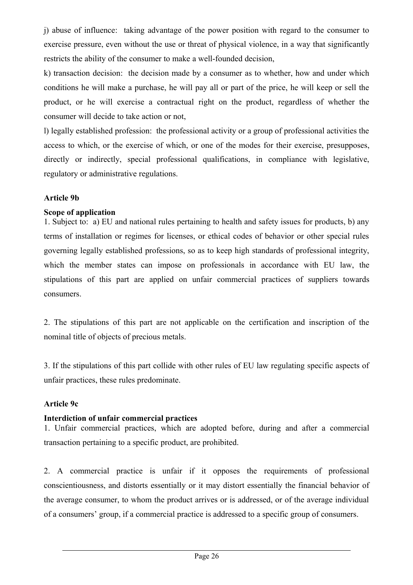j) abuse of influence: taking advantage of the power position with regard to the consumer to exercise pressure, even without the use or threat of physical violence, in a way that significantly restricts the ability of the consumer to make a well-founded decision,

k) transaction decision: the decision made by a consumer as to whether, how and under which conditions he will make a purchase, he will pay all or part of the price, he will keep or sell the product, or he will exercise a contractual right on the product, regardless of whether the consumer will decide to take action or not,

l) legally established profession: the professional activity or a group of professional activities the access to which, or the exercise of which, or one of the modes for their exercise, presupposes, directly or indirectly, special professional qualifications, in compliance with legislative, regulatory or administrative regulations.

#### **Article 9b**

## **Scope of application**

1. Subject to: a) EU and national rules pertaining to health and safety issues for products, b) any terms of installation or regimes for licenses, or ethical codes of behavior or other special rules governing legally established professions, so as to keep high standards of professional integrity, which the member states can impose on professionals in accordance with EU law, the stipulations of this part are applied on unfair commercial practices of suppliers towards consumers.

2. The stipulations of this part are not applicable on the certification and inscription of the nominal title of objects of precious metals.

3. If the stipulations of this part collide with other rules of EU law regulating specific aspects of unfair practices, these rules predominate.

#### **Article 9c**

## **Interdiction of unfair commercial practices**

1. Unfair commercial practices, which are adopted before, during and after a commercial transaction pertaining to a specific product, are prohibited.

2. A commercial practice is unfair if it opposes the requirements of professional conscientiousness, and distorts essentially or it may distort essentially the financial behavior of the average consumer, to whom the product arrives or is addressed, or of the average individual of a consumers' group, if a commercial practice is addressed to a specific group of consumers.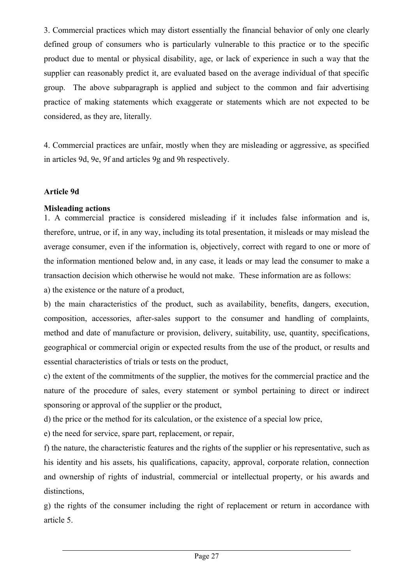3. Commercial practices which may distort essentially the financial behavior of only one clearly defined group of consumers who is particularly vulnerable to this practice or to the specific product due to mental or physical disability, age, or lack of experience in such a way that the supplier can reasonably predict it, are evaluated based on the average individual of that specific group. The above subparagraph is applied and subject to the common and fair advertising practice of making statements which exaggerate or statements which are not expected to be considered, as they are, literally.

4. Commercial practices are unfair, mostly when they are misleading or aggressive, as specified in articles 9d, 9e, 9f and articles 9g and 9h respectively.

#### **Article 9d**

#### **Misleading actions**

1. A commercial practice is considered misleading if it includes false information and is, therefore, untrue, or if, in any way, including its total presentation, it misleads or may mislead the average consumer, even if the information is, objectively, correct with regard to one or more of the information mentioned below and, in any case, it leads or may lead the consumer to make a transaction decision which otherwise he would not make. These information are as follows:

a) the existence or the nature of a product,

b) the main characteristics of the product, such as availability, benefits, dangers, execution, composition, accessories, after-sales support to the consumer and handling of complaints, method and date of manufacture or provision, delivery, suitability, use, quantity, specifications, geographical or commercial origin or expected results from the use of the product, or results and essential characteristics of trials or tests on the product,

c) the extent of the commitments of the supplier, the motives for the commercial practice and the nature of the procedure of sales, every statement or symbol pertaining to direct or indirect sponsoring or approval of the supplier or the product,

d) the price or the method for its calculation, or the existence of a special low price,

e) the need for service, spare part, replacement, or repair,

f) the nature, the characteristic features and the rights of the supplier or his representative, such as his identity and his assets, his qualifications, capacity, approval, corporate relation, connection and ownership of rights of industrial, commercial or intellectual property, or his awards and distinctions.

g) the rights of the consumer including the right of replacement or return in accordance with article 5.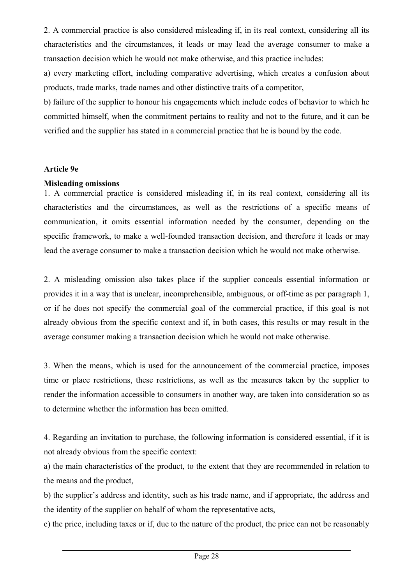2. A commercial practice is also considered misleading if, in its real context, considering all its characteristics and the circumstances, it leads or may lead the average consumer to make a transaction decision which he would not make otherwise, and this practice includes:

a) every marketing effort, including comparative advertising, which creates a confusion about products, trade marks, trade names and other distinctive traits of a competitor,

b) failure of the supplier to honour his engagements which include codes of behavior to which he committed himself, when the commitment pertains to reality and not to the future, and it can be verified and the supplier has stated in a commercial practice that he is bound by the code.

#### **Article 9e**

#### **Misleading omissions**

1. A commercial practice is considered misleading if, in its real context, considering all its characteristics and the circumstances, as well as the restrictions of a specific means of communication, it omits essential information needed by the consumer, depending on the specific framework, to make a well-founded transaction decision, and therefore it leads or may lead the average consumer to make a transaction decision which he would not make otherwise.

2. Α misleading omission also takes place if the supplier conceals essential information or provides it in a way that is unclear, incomprehensible, ambiguous, or off-time as per paragraph 1, or if he does not specify the commercial goal of the commercial practice, if this goal is not already obvious from the specific context and if, in both cases, this results or may result in the average consumer making a transaction decision which he would not make otherwise.

3. When the means, which is used for the announcement of the commercial practice, imposes time or place restrictions, these restrictions, as well as the measures taken by the supplier to render the information accessible to consumers in another way, are taken into consideration so as to determine whether the information has been omitted.

4. Regarding an invitation to purchase, the following information is considered essential, if it is not already obvious from the specific context:

a) the main characteristics of the product, to the extent that they are recommended in relation to the means and the product,

b) the supplier's address and identity, such as his trade name, and if appropriate, the address and the identity of the supplier on behalf of whom the representative acts,

c) the price, including taxes or if, due to the nature of the product, the price can not be reasonably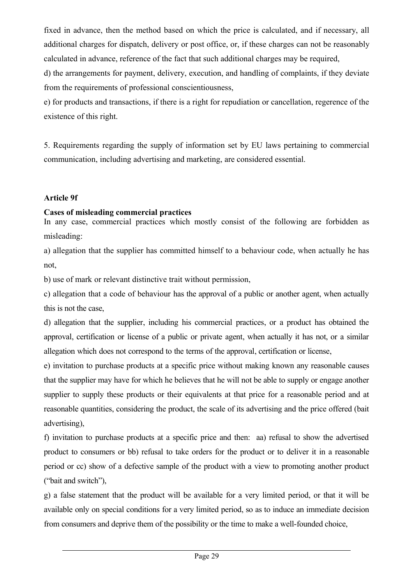fixed in advance, then the method based on which the price is calculated, and if necessary, all additional charges for dispatch, delivery or post office, or, if these charges can not be reasonably calculated in advance, reference of the fact that such additional charges may be required,

d) the arrangements for payment, delivery, execution, and handling of complaints, if they deviate from the requirements of professional conscientiousness,

e) for products and transactions, if there is a right for repudiation or cancellation, regerence of the existence of this right.

5. Requirements regarding the supply of information set by EU laws pertaining to commercial communication, including advertising and marketing, are considered essential.

## **Article 9f**

# **Cases of misleading commercial practices**

In any case, commercial practices which mostly consist of the following are forbidden as misleading:

a) allegation that the supplier has committed himself to a behaviour code, when actually he has not,

b) use of mark or relevant distinctive trait without permission,

c) allegation that a code of behaviour has the approval of a public or another agent, when actually this is not the case,

d) allegation that the supplier, including his commercial practices, or a product has obtained the approval, certification or license of a public or private agent, when actually it has not, or a similar allegation which does not correspond to the terms of the approval, certification or license,

e) invitation to purchase products at a specific price without making known any reasonable causes that the supplier may have for which he believes that he will not be able to supply or engage another supplier to supply these products or their equivalents at that price for a reasonable period and at reasonable quantities, considering the product, the scale of its advertising and the price offered (bait advertising),

f) invitation to purchase products at a specific price and then: aa) refusal to show the advertised product to consumers or bb) refusal to take orders for the product or to deliver it in a reasonable period or cc) show of a defective sample of the product with a view to promoting another product ("bait and switch"),

g) a false statement that the product will be available for a very limited period, or that it will be available only on special conditions for a very limited period, so as to induce an immediate decision from consumers and deprive them of the possibility or the time to make a well-founded choice,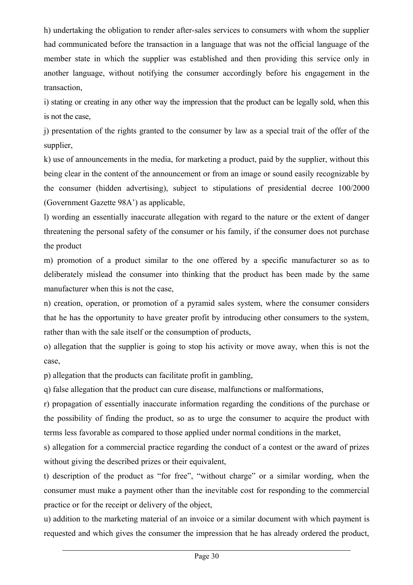h) undertaking the obligation to render after-sales services to consumers with whom the supplier had communicated before the transaction in a language that was not the official language of the member state in which the supplier was established and then providing this service only in another language, without notifying the consumer accordingly before his engagement in the transaction,

i) stating or creating in any other way the impression that the product can be legally sold, when this is not the case,

j) presentation of the rights granted to the consumer by law as a special trait of the offer of the supplier,

k) use of announcements in the media, for marketing a product, paid by the supplier, without this being clear in the content of the announcement or from an image or sound easily recognizable by the consumer (hidden advertising), subject to stipulations of presidential decree 100/2000 (Government Gazette 98Α') as applicable,

l) wording an essentially inaccurate allegation with regard to the nature or the extent of danger threatening the personal safety of the consumer or his family, if the consumer does not purchase the product

m) promotion of a product similar to the one offered by a specific manufacturer so as to deliberately mislead the consumer into thinking that the product has been made by the same manufacturer when this is not the case,

n) creation, operation, or promotion of a pyramid sales system, where the consumer considers that he has the opportunity to have greater profit by introducing other consumers to the system, rather than with the sale itself or the consumption of products,

o) allegation that the supplier is going to stop his activity or move away, when this is not the case,

p) allegation that the products can facilitate profit in gambling,

q) false allegation that the product can cure disease, malfunctions or malformations,

r) propagation of essentially inaccurate information regarding the conditions of the purchase or the possibility of finding the product, so as to urge the consumer to acquire the product with terms less favorable as compared to those applied under normal conditions in the market,

s) allegation for a commercial practice regarding the conduct of a contest or the award of prizes without giving the described prizes or their equivalent,

t) description of the product as "for free", "without charge" or a similar wording, when the consumer must make a payment other than the inevitable cost for responding to the commercial practice or for the receipt or delivery of the object,

u) addition to the marketing material of an invoice or a similar document with which payment is requested and which gives the consumer the impression that he has already ordered the product,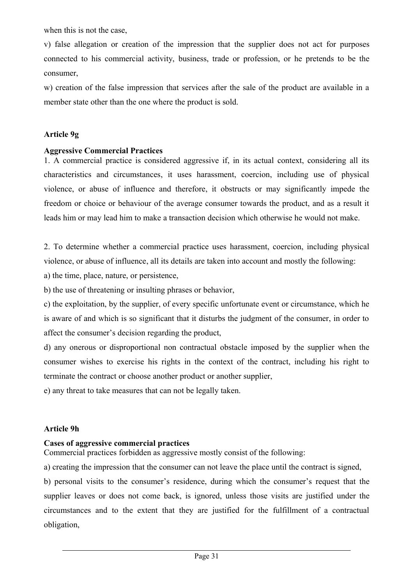when this is not the case,

v) false allegation or creation of the impression that the supplier does not act for purposes connected to his commercial activity, business, trade or profession, or he pretends to be the consumer,

w) creation of the false impression that services after the sale of the product are available in a member state other than the one where the product is sold.

## **Article 9g**

#### **Aggressive Commercial Practices**

1. A commercial practice is considered aggressive if, in its actual context, considering all its characteristics and circumstances, it uses harassment, coercion, including use of physical violence, or abuse of influence and therefore, it obstructs or may significantly impede the freedom or choice or behaviour of the average consumer towards the product, and as a result it leads him or may lead him to make a transaction decision which otherwise he would not make.

2. To determine whether a commercial practice uses harassment, coercion, including physical violence, or abuse of influence, all its details are taken into account and mostly the following:

a) the time, place, nature, or persistence,

b) the use of threatening or insulting phrases or behavior,

c) the exploitation, by the supplier, of every specific unfortunate event or circumstance, which he is aware of and which is so significant that it disturbs the judgment of the consumer, in order to affect the consumer's decision regarding the product,

d) any onerous or disproportional non contractual obstacle imposed by the supplier when the consumer wishes to exercise his rights in the context of the contract, including his right to terminate the contract or choose another product or another supplier,

e) any threat to take measures that can not be legally taken.

#### **Article 9h**

## **Cases of aggressive commercial practices**

Commercial practices forbidden as aggressive mostly consist of the following:

a) creating the impression that the consumer can not leave the place until the contract is signed,

b) personal visits to the consumer's residence, during which the consumer's request that the supplier leaves or does not come back, is ignored, unless those visits are justified under the circumstances and to the extent that they are justified for the fulfillment of a contractual obligation,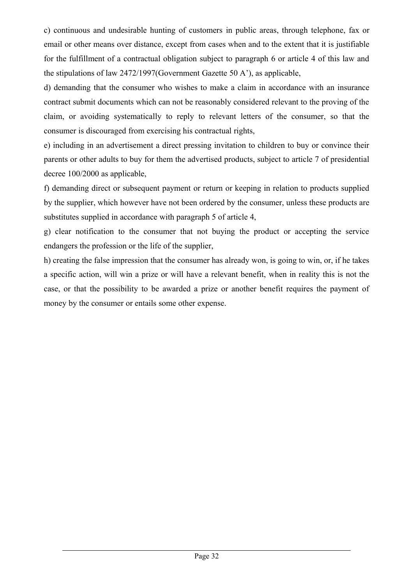c) continuous and undesirable hunting of customers in public areas, through telephone, fax or email or other means over distance, except from cases when and to the extent that it is justifiable for the fulfillment of a contractual obligation subject to paragraph 6 or article 4 of this law and the stipulations of law 2472/1997(Government Gazette 50 Α'), as applicable,

d) demanding that the consumer who wishes to make a claim in accordance with an insurance contract submit documents which can not be reasonably considered relevant to the proving of the claim, or avoiding systematically to reply to relevant letters of the consumer, so that the consumer is discouraged from exercising his contractual rights,

e) including in an advertisement a direct pressing invitation to children to buy or convince their parents or other adults to buy for them the advertised products, subject to article 7 of presidential decree 100/2000 as applicable,

f) demanding direct or subsequent payment or return or keeping in relation to products supplied by the supplier, which however have not been ordered by the consumer, unless these products are substitutes supplied in accordance with paragraph 5 of article 4,

g) clear notification to the consumer that not buying the product or accepting the service endangers the profession or the life of the supplier,

h) creating the false impression that the consumer has already won, is going to win, or, if he takes a specific action, will win a prize or will have a relevant benefit, when in reality this is not the case, or that the possibility to be awarded a prize or another benefit requires the payment of money by the consumer or entails some other expense.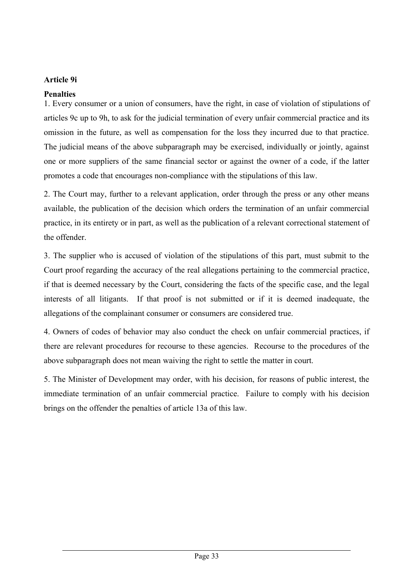## **Article 9i**

## **Penalties**

1. Every consumer or a union of consumers, have the right, in case of violation of stipulations of articles 9c up to 9h, to ask for the judicial termination of every unfair commercial practice and its omission in the future, as well as compensation for the loss they incurred due to that practice. The judicial means of the above subparagraph may be exercised, individually or jointly, against one or more suppliers of the same financial sector or against the owner of a code, if the latter promotes a code that encourages non-compliance with the stipulations of this law.

2. The Court may, further to a relevant application, order through the press or any other means available, the publication of the decision which orders the termination of an unfair commercial practice, in its entirety or in part, as well as the publication of a relevant correctional statement of the offender.

3. The supplier who is accused of violation of the stipulations of this part, must submit to the Court proof regarding the accuracy of the real allegations pertaining to the commercial practice, if that is deemed necessary by the Court, considering the facts of the specific case, and the legal interests of all litigants. If that proof is not submitted or if it is deemed inadequate, the allegations of the complainant consumer or consumers are considered true.

4. Owners of codes of behavior may also conduct the check on unfair commercial practices, if there are relevant procedures for recourse to these agencies. Recourse to the procedures of the above subparagraph does not mean waiving the right to settle the matter in court.

5. The Minister of Development may order, with his decision, for reasons of public interest, the immediate termination of an unfair commercial practice. Failure to comply with his decision brings on the offender the penalties of article 13a of this law.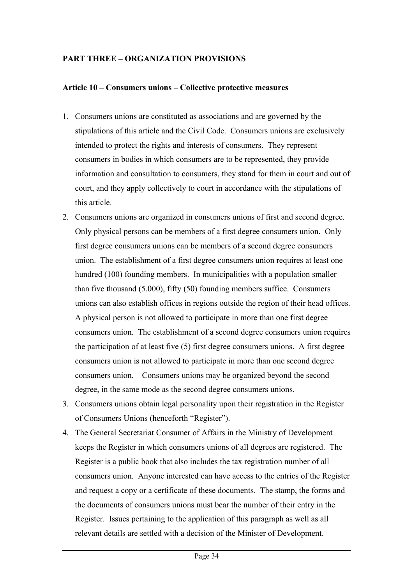## **PART THREE – ORGANIZATION PROVISIONS**

#### **Article 10 – Consumers unions – Collective protective measures**

- 1. Consumers unions are constituted as associations and are governed by the stipulations of this article and the Civil Code. Consumers unions are exclusively intended to protect the rights and interests of consumers. They represent consumers in bodies in which consumers are to be represented, they provide information and consultation to consumers, they stand for them in court and out of court, and they apply collectively to court in accordance with the stipulations of this article.
- 2. Consumers unions are organized in consumers unions of first and second degree. Only physical persons can be members of a first degree consumers union. Only first degree consumers unions can be members of a second degree consumers union. The establishment of a first degree consumers union requires at least one hundred (100) founding members. In municipalities with a population smaller than five thousand (5.000), fifty (50) founding members suffice. Consumers unions can also establish offices in regions outside the region of their head offices. A physical person is not allowed to participate in more than one first degree consumers union. The establishment of a second degree consumers union requires the participation of at least five (5) first degree consumers unions. A first degree consumers union is not allowed to participate in more than one second degree consumers union. Consumers unions may be organized beyond the second degree, in the same mode as the second degree consumers unions.
- 3. Consumers unions obtain legal personality upon their registration in the Register of Consumers Unions (henceforth "Register").
- 4. The General Secretariat Consumer of Affairs in the Ministry of Development keeps the Register in which consumers unions of all degrees are registered. The Register is a public book that also includes the tax registration number of all consumers union. Anyone interested can have access to the entries of the Register and request a copy or a certificate of these documents. The stamp, the forms and the documents of consumers unions must bear the number of their entry in the Register. Issues pertaining to the application of this paragraph as well as all relevant details are settled with a decision of the Minister of Development.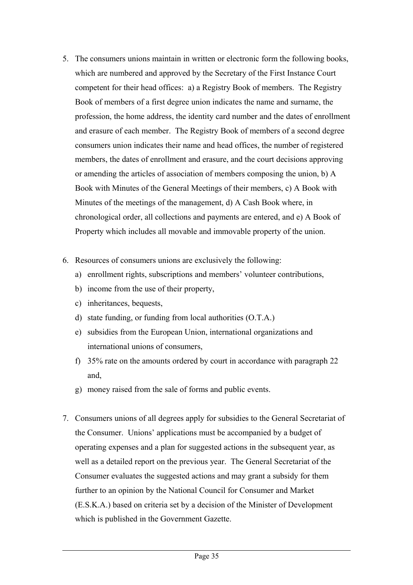- 5. The consumers unions maintain in written or electronic form the following books, which are numbered and approved by the Secretary of the First Instance Court competent for their head offices: a) a Registry Book of members. The Registry Book of members of a first degree union indicates the name and surname, the profession, the home address, the identity card number and the dates of enrollment and erasure of each member. The Registry Book of members of a second degree consumers union indicates their name and head offices, the number of registered members, the dates of enrollment and erasure, and the court decisions approving or amending the articles of association of members composing the union, b) A Book with Minutes of the General Meetings of their members, c) A Book with Minutes of the meetings of the management, d) A Cash Book where, in chronological order, all collections and payments are entered, and e) A Book of Property which includes all movable and immovable property of the union.
- 6. Resources of consumers unions are exclusively the following:
	- a) enrollment rights, subscriptions and members' volunteer contributions,
	- b) income from the use of their property,
	- c) inheritances, bequests,
	- d) state funding, or funding from local authorities (O.T.A.)
	- e) subsidies from the European Union, international organizations and international unions of consumers,
	- f) 35% rate on the amounts ordered by court in accordance with paragraph 22 and,
	- g) money raised from the sale of forms and public events.
- 7. Consumers unions of all degrees apply for subsidies to the General Secretariat of the Consumer. Unions' applications must be accompanied by a budget of operating expenses and a plan for suggested actions in the subsequent year, as well as a detailed report on the previous year. The General Secretariat of the Consumer evaluates the suggested actions and may grant a subsidy for them further to an opinion by the National Council for Consumer and Market (E.S.K.A.) based on criteria set by a decision of the Minister of Development which is published in the Government Gazette.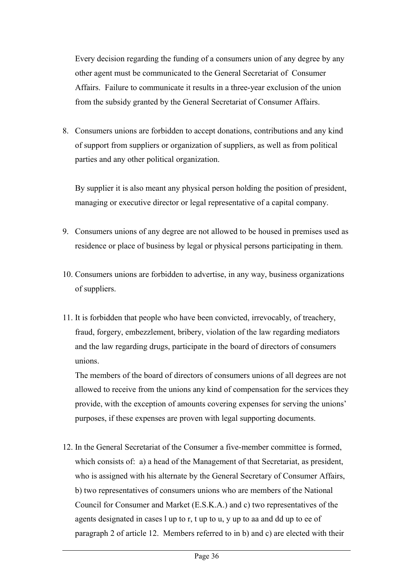Every decision regarding the funding of a consumers union of any degree by any other agent must be communicated to the General Secretariat of Consumer Affairs. Failure to communicate it results in a three-year exclusion of the union from the subsidy granted by the General Secretariat of Consumer Affairs.

8. Consumers unions are forbidden to accept donations, contributions and any kind of support from suppliers or organization of suppliers, as well as from political parties and any other political organization.

By supplier it is also meant any physical person holding the position of president, managing or executive director or legal representative of a capital company.

- 9. Consumers unions of any degree are not allowed to be housed in premises used as residence or place of business by legal or physical persons participating in them.
- 10. Consumers unions are forbidden to advertise, in any way, business organizations of suppliers.
- 11. It is forbidden that people who have been convicted, irrevocably, of treachery, fraud, forgery, embezzlement, bribery, violation of the law regarding mediators and the law regarding drugs, participate in the board of directors of consumers unions.

The members of the board of directors of consumers unions of all degrees are not allowed to receive from the unions any kind of compensation for the services they provide, with the exception of amounts covering expenses for serving the unions' purposes, if these expenses are proven with legal supporting documents.

12. In the General Secretariat of the Consumer a five-member committee is formed, which consists of: a) a head of the Management of that Secretariat, as president, who is assigned with his alternate by the General Secretary of Consumer Affairs, b) two representatives of consumers unions who are members of the National Council for Consumer and Market (E.S.K.A.) and c) two representatives of the agents designated in cases l up to r, t up to u, y up to aa and dd up to ee of paragraph 2 of article 12. Members referred to in b) and c) are elected with their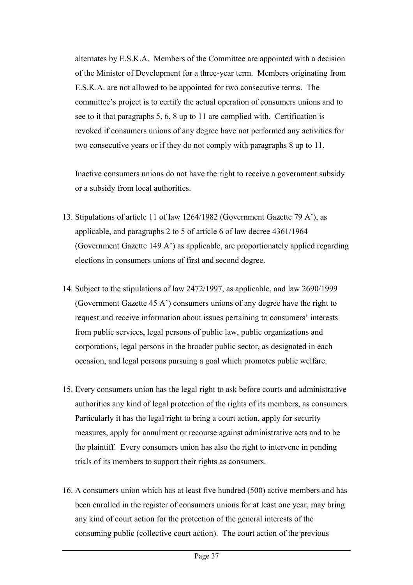alternates by E.S.K.A. Members of the Committee are appointed with a decision of the Minister of Development for a three-year term. Members originating from E.S.K.A. are not allowed to be appointed for two consecutive terms. The committee's project is to certify the actual operation of consumers unions and to see to it that paragraphs 5, 6, 8 up to 11 are complied with. Certification is revoked if consumers unions of any degree have not performed any activities for two consecutive years or if they do not comply with paragraphs 8 up to 11.

Inactive consumers unions do not have the right to receive a government subsidy or a subsidy from local authorities.

- 13. Stipulations of article 11 of law 1264/1982 (Government Gazette 79 A'), as applicable, and paragraphs 2 to 5 of article 6 of law decree 4361/1964 (Government Gazette 149 A') as applicable, are proportionately applied regarding elections in consumers unions of first and second degree.
- 14. Subject to the stipulations of law 2472/1997, as applicable, and law 2690/1999 (Government Gazette 45 A') consumers unions of any degree have the right to request and receive information about issues pertaining to consumers' interests from public services, legal persons of public law, public organizations and corporations, legal persons in the broader public sector, as designated in each occasion, and legal persons pursuing a goal which promotes public welfare.
- 15. Every consumers union has the legal right to ask before courts and administrative authorities any kind of legal protection of the rights of its members, as consumers. Particularly it has the legal right to bring a court action, apply for security measures, apply for annulment or recourse against administrative acts and to be the plaintiff. Every consumers union has also the right to intervene in pending trials of its members to support their rights as consumers.
- 16. A consumers union which has at least five hundred (500) active members and has been enrolled in the register of consumers unions for at least one year, may bring any kind of court action for the protection of the general interests of the consuming public (collective court action). The court action of the previous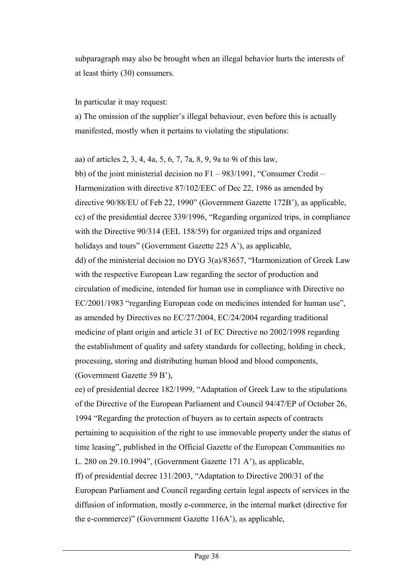subparagraph may also be brought when an illegal behavior hurts the interests of at least thirty (30) consumers.

In particular it may request:

a) The omission of the supplier's illegal behaviour, even before this is actually manifested, mostly when it pertains to violating the stipulations:

aa) of articles 2, 3, 4, 4a, 5, 6, 7, 7a, 8, 9, 9a to 9i of this law, bb) of the joint ministerial decision no F1 – 983/1991, "Consumer Credit – Harmonization with directive 87/102/EEC of Dec 22, 1986 as amended by directive 90/88/EU of Feb 22, 1990" (Government Gazette 172B'), as applicable, cc) of the presidential decree 339/1996, "Regarding organized trips, in compliance with the Directive 90/314 (EEL 158/59) for organized trips and organized holidays and tours" (Government Gazette 225 Α'), as applicable, dd) of the ministerial decision no DYG 3(a)/83657, "Harmonization of Greek Law with the respective European Law regarding the sector of production and circulation of medicine, intended for human use in compliance with Directive no EC/2001/1983 "regarding European code on medicines intended for human use", as amended by Directives no EC/27/2004, EC/24/2004 regarding traditional medicine of plant origin and article 31 of EC Directive no 2002/1998 regarding the establishment of quality and safety standards for collecting, holding in check, processing, storing and distributing human blood and blood components, (Government Gazette 59 B'),

ee) of presidential decree 182/1999, "Adaptation of Greek Law to the stipulations of the Directive of the European Parliament and Council 94/47/EP of October 26, 1994 "Regarding the protection of buyers as to certain aspects of contracts pertaining to acquisition of the right to use immovable property under the status of time leasing", published in the Official Gazette of the European Communities no L. 280 on 29.10.1994", (Government Gazette 171 A'), as applicable, ff) of presidential decree 131/2003, "Adaptation to Directive 200/31 of the European Parliament and Council regarding certain legal aspects of services in the diffusion of information, mostly e-commerce, in the internal market (directive for the e-commerce)" (Government Gazette 116A'), as applicable,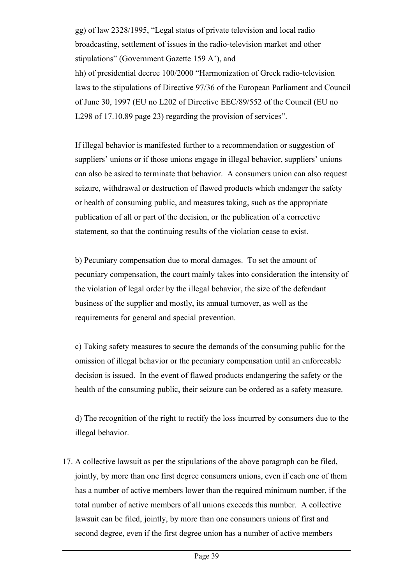gg) of law 2328/1995, "Legal status of private television and local radio broadcasting, settlement of issues in the radio-television market and other stipulations" (Government Gazette 159 A'), and hh) of presidential decree 100/2000 "Harmonization of Greek radio-television laws to the stipulations of Directive 97/36 of the European Parliament and Council of June 30, 1997 (EU no L202 of Directive EEC/89/552 of the Council (EU no L298 of 17.10.89 page 23) regarding the provision of services".

If illegal behavior is manifested further to a recommendation or suggestion of suppliers' unions or if those unions engage in illegal behavior, suppliers' unions can also be asked to terminate that behavior. A consumers union can also request seizure, withdrawal or destruction of flawed products which endanger the safety or health of consuming public, and measures taking, such as the appropriate publication of all or part of the decision, or the publication of a corrective statement, so that the continuing results of the violation cease to exist.

b) Pecuniary compensation due to moral damages. To set the amount of pecuniary compensation, the court mainly takes into consideration the intensity of the violation of legal order by the illegal behavior, the size of the defendant business of the supplier and mostly, its annual turnover, as well as the requirements for general and special prevention.

c) Taking safety measures to secure the demands of the consuming public for the omission of illegal behavior or the pecuniary compensation until an enforceable decision is issued. In the event of flawed products endangering the safety or the health of the consuming public, their seizure can be ordered as a safety measure.

d) The recognition of the right to rectify the loss incurred by consumers due to the illegal behavior.

17. A collective lawsuit as per the stipulations of the above paragraph can be filed, jointly, by more than one first degree consumers unions, even if each one of them has a number of active members lower than the required minimum number, if the total number of active members of all unions exceeds this number. A collective lawsuit can be filed, jointly, by more than one consumers unions of first and second degree, even if the first degree union has a number of active members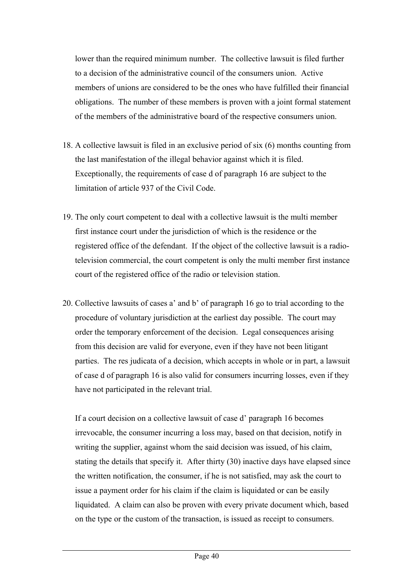lower than the required minimum number. The collective lawsuit is filed further to a decision of the administrative council of the consumers union. Active members of unions are considered to be the ones who have fulfilled their financial obligations. The number of these members is proven with a joint formal statement of the members of the administrative board of the respective consumers union.

- 18. A collective lawsuit is filed in an exclusive period of six (6) months counting from the last manifestation of the illegal behavior against which it is filed. Exceptionally, the requirements of case d of paragraph 16 are subject to the limitation of article 937 of the Civil Code.
- 19. The only court competent to deal with a collective lawsuit is the multi member first instance court under the jurisdiction of which is the residence or the registered office of the defendant. If the object of the collective lawsuit is a radiotelevision commercial, the court competent is only the multi member first instance court of the registered office of the radio or television station.
- 20. Collective lawsuits of cases a' and b' of paragraph 16 go to trial according to the procedure of voluntary jurisdiction at the earliest day possible. The court may order the temporary enforcement of the decision. Legal consequences arising from this decision are valid for everyone, even if they have not been litigant parties. The res judicata of a decision, which accepts in whole or in part, a lawsuit of case d of paragraph 16 is also valid for consumers incurring losses, even if they have not participated in the relevant trial.

If a court decision on a collective lawsuit of case d' paragraph 16 becomes irrevocable, the consumer incurring a loss may, based on that decision, notify in writing the supplier, against whom the said decision was issued, of his claim, stating the details that specify it. After thirty (30) inactive days have elapsed since the written notification, the consumer, if he is not satisfied, may ask the court to issue a payment order for his claim if the claim is liquidated or can be easily liquidated. A claim can also be proven with every private document which, based on the type or the custom of the transaction, is issued as receipt to consumers.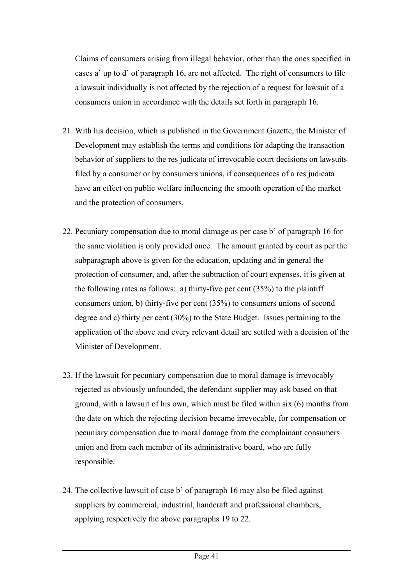Claims of consumers arising from illegal behavior, other than the ones specified in cases a' up to d' of paragraph 16, are not affected. The right of consumers to file a lawsuit individually is not affected by the rejection of a request for lawsuit of a consumers union in accordance with the details set forth in paragraph 16.

- 21. With his decision, which is published in the Government Gazette, the Minister of Development may establish the terms and conditions for adapting the transaction behavior of suppliers to the res judicata of irrevocable court decisions on lawsuits filed by a consumer or by consumers unions, if consequences of a res judicata have an effect on public welfare influencing the smooth operation of the market and the protection of consumers.
- 22. Pecuniary compensation due to moral damage as per case b' of paragraph 16 for the same violation is only provided once. The amount granted by court as per the subparagraph above is given for the education, updating and in general the protection of consumer, and, after the subtraction of court expenses, it is given at the following rates as follows: a) thirty-five per cent  $(35%)$  to the plaintiff consumers union, b) thirty-five per cent (35%) to consumers unions of second degree and c) thirty per cent (30%) to the State Budget. Issues pertaining to the application of the above and every relevant detail are settled with a decision of the Minister of Development.
- 23. If the lawsuit for pecuniary compensation due to moral damage is irrevocably rejected as obviously unfounded, the defendant supplier may ask based on that ground, with a lawsuit of his own, which must be filed within six (6) months from the date on which the rejecting decision became irrevocable, for compensation or pecuniary compensation due to moral damage from the complainant consumers union and from each member of its administrative board, who are fully responsible.
- 24. The collective lawsuit of case b' of paragraph 16 may also be filed against suppliers by commercial, industrial, handcraft and professional chambers, applying respectively the above paragraphs 19 to 22.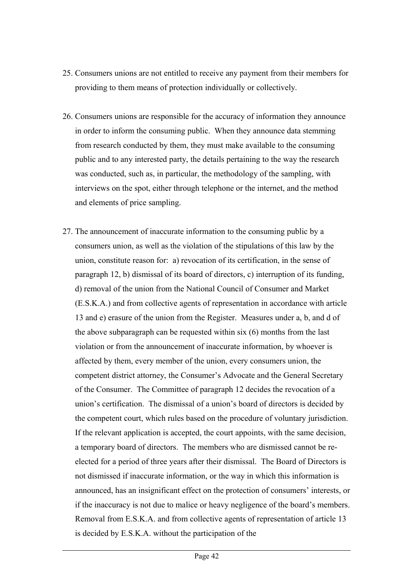- 25. Consumers unions are not entitled to receive any payment from their members for providing to them means of protection individually or collectively.
- 26. Consumers unions are responsible for the accuracy of information they announce in order to inform the consuming public. When they announce data stemming from research conducted by them, they must make available to the consuming public and to any interested party, the details pertaining to the way the research was conducted, such as, in particular, the methodology of the sampling, with interviews on the spot, either through telephone or the internet, and the method and elements of price sampling.
- 27. The announcement of inaccurate information to the consuming public by a consumers union, as well as the violation of the stipulations of this law by the union, constitute reason for: a) revocation of its certification, in the sense of paragraph 12, b) dismissal of its board of directors, c) interruption of its funding, d) removal of the union from the National Council of Consumer and Market (E.S.K.A.) and from collective agents of representation in accordance with article 13 and e) erasure of the union from the Register. Measures under a, b, and d of the above subparagraph can be requested within six (6) months from the last violation or from the announcement of inaccurate information, by whoever is affected by them, every member of the union, every consumers union, the competent district attorney, the Consumer's Advocate and the General Secretary of the Consumer. The Committee of paragraph 12 decides the revocation of a union's certification. The dismissal of a union's board of directors is decided by the competent court, which rules based on the procedure of voluntary jurisdiction. If the relevant application is accepted, the court appoints, with the same decision, a temporary board of directors. The members who are dismissed cannot be reelected for a period of three years after their dismissal. The Board of Directors is not dismissed if inaccurate information, or the way in which this information is announced, has an insignificant effect on the protection of consumers' interests, or if the inaccuracy is not due to malice or heavy negligence of the board's members. Removal from E.S.K.A. and from collective agents of representation of article 13 is decided by E.S.K.A. without the participation of the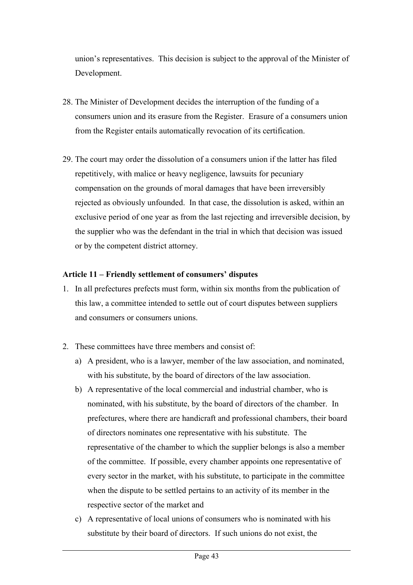union's representatives. This decision is subject to the approval of the Minister of Development.

- 28. The Minister of Development decides the interruption of the funding of a consumers union and its erasure from the Register. Erasure of a consumers union from the Register entails automatically revocation of its certification.
- 29. The court may order the dissolution of a consumers union if the latter has filed repetitively, with malice or heavy negligence, lawsuits for pecuniary compensation on the grounds of moral damages that have been irreversibly rejected as obviously unfounded. In that case, the dissolution is asked, within an exclusive period of one year as from the last rejecting and irreversible decision, by the supplier who was the defendant in the trial in which that decision was issued or by the competent district attorney.

#### **Article 11 – Friendly settlement of consumers' disputes**

- 1. In all prefectures prefects must form, within six months from the publication of this law, a committee intended to settle out of court disputes between suppliers and consumers or consumers unions.
- 2. These committees have three members and consist of:
	- a) A president, who is a lawyer, member of the law association, and nominated, with his substitute, by the board of directors of the law association.
	- b) A representative of the local commercial and industrial chamber, who is nominated, with his substitute, by the board of directors of the chamber. In prefectures, where there are handicraft and professional chambers, their board of directors nominates one representative with his substitute. The representative of the chamber to which the supplier belongs is also a member of the committee. If possible, every chamber appoints one representative of every sector in the market, with his substitute, to participate in the committee when the dispute to be settled pertains to an activity of its member in the respective sector of the market and
	- c) A representative of local unions of consumers who is nominated with his substitute by their board of directors. If such unions do not exist, the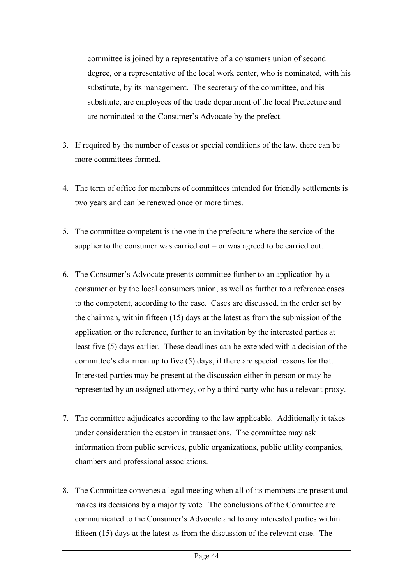committee is joined by a representative of a consumers union of second degree, or a representative of the local work center, who is nominated, with his substitute, by its management. The secretary of the committee, and his substitute, are employees of the trade department of the local Prefecture and are nominated to the Consumer's Advocate by the prefect.

- 3. If required by the number of cases or special conditions of the law, there can be more committees formed.
- 4. The term of office for members of committees intended for friendly settlements is two years and can be renewed once or more times.
- 5. The committee competent is the one in the prefecture where the service of the supplier to the consumer was carried out – or was agreed to be carried out.
- 6. The Consumer's Advocate presents committee further to an application by a consumer or by the local consumers union, as well as further to a reference cases to the competent, according to the case. Cases are discussed, in the order set by the chairman, within fifteen (15) days at the latest as from the submission of the application or the reference, further to an invitation by the interested parties at least five (5) days earlier. These deadlines can be extended with a decision of the committee's chairman up to five (5) days, if there are special reasons for that. Interested parties may be present at the discussion either in person or may be represented by an assigned attorney, or by a third party who has a relevant proxy.
- 7. The committee adjudicates according to the law applicable. Additionally it takes under consideration the custom in transactions. The committee may ask information from public services, public organizations, public utility companies, chambers and professional associations.
- 8. The Committee convenes a legal meeting when all of its members are present and makes its decisions by a majority vote. The conclusions of the Committee are communicated to the Consumer's Advocate and to any interested parties within fifteen (15) days at the latest as from the discussion of the relevant case. The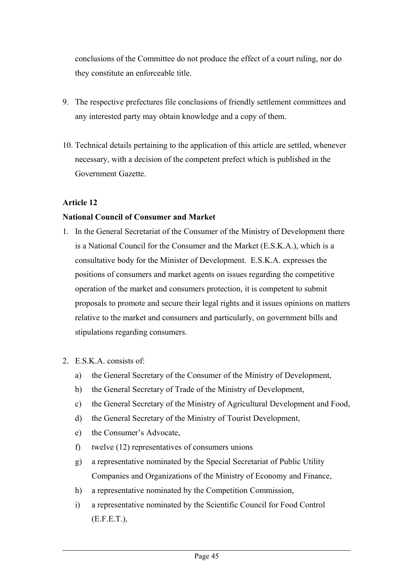conclusions of the Committee do not produce the effect of a court ruling, nor do they constitute an enforceable title.

- 9. The respective prefectures file conclusions of friendly settlement committees and any interested party may obtain knowledge and a copy of them.
- 10. Technical details pertaining to the application of this article are settled, whenever necessary, with a decision of the competent prefect which is published in the Government Gazette.

# **Article 12**

#### **National Council of Consumer and Market**

- 1. In the General Secretariat of the Consumer of the Ministry of Development there is a National Council for the Consumer and the Market (E.S.K.A.), which is a consultative body for the Minister of Development. E.S.K.A. expresses the positions of consumers and market agents on issues regarding the competitive operation of the market and consumers protection, it is competent to submit proposals to promote and secure their legal rights and it issues opinions on matters relative to the market and consumers and particularly, on government bills and stipulations regarding consumers.
- 2. E.S.K.A. consists of:
	- a) the General Secretary of the Consumer of the Ministry of Development,
	- b) the General Secretary of Trade of the Ministry of Development,
	- c) the General Secretary of the Ministry of Agricultural Development and Food,
	- d) the General Secretary of the Ministry of Tourist Development,
	- e) the Consumer's Advocate,
	- f) twelve (12) representatives of consumers unions
	- g) a representative nominated by the Special Secretariat of Public Utility Companies and Organizations of the Ministry of Economy and Finance,
	- h) a representative nominated by the Competition Commission,
	- i) a representative nominated by the Scientific Council for Food Control (E.F.E.T.),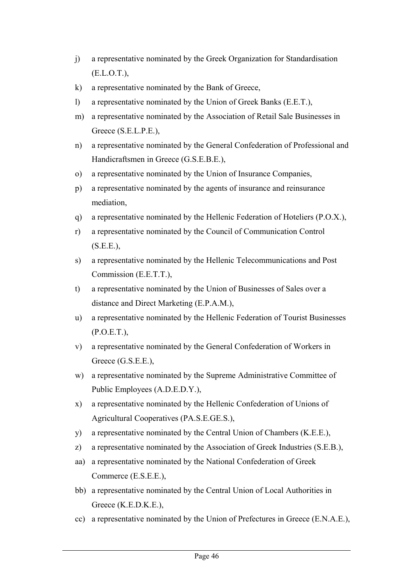- j) a representative nominated by the Greek Organization for Standardisation (E.L.O.T.),
- k) a representative nominated by the Bank of Greece,
- l) a representative nominated by the Union of Greek Banks (E.E.T.),
- m) a representative nominated by the Association of Retail Sale Businesses in Greece (S.E.L.P.E.),
- n) a representative nominated by the General Confederation of Professional and Handicraftsmen in Greece (G.S.E.B.E.),
- o) a representative nominated by the Union of Insurance Companies,
- p) a representative nominated by the agents of insurance and reinsurance mediation,
- q) a representative nominated by the Hellenic Federation of Hoteliers (P.O.X.),
- r) a representative nominated by the Council of Communication Control (S.E.E.),
- s) a representative nominated by the Hellenic Telecommunications and Post Commission (E.E.T.T.),
- t) a representative nominated by the Union of Businesses of Sales over a distance and Direct Marketing (E.P.A.M.),
- u) a representative nominated by the Hellenic Federation of Tourist Businesses (P.O.E.T.),
- v) a representative nominated by the General Confederation of Workers in Greece (G.S.E.E.),
- w) a representative nominated by the Supreme Administrative Committee of Public Employees (A.D.E.D.Y.),
- x) a representative nominated by the Hellenic Confederation of Unions of Agricultural Cooperatives (PA.S.E.GE.S.),
- y) a representative nominated by the Central Union of Chambers (K.E.E.),
- z) a representative nominated by the Association of Greek Industries (S.E.B.),
- aa) a representative nominated by the National Confederation of Greek Commerce (E.S.E.E.),
- bb) a representative nominated by the Central Union of Local Authorities in Greece (K.E.D.K.E.),
- cc) a representative nominated by the Union of Prefectures in Greece (E.N.A.E.),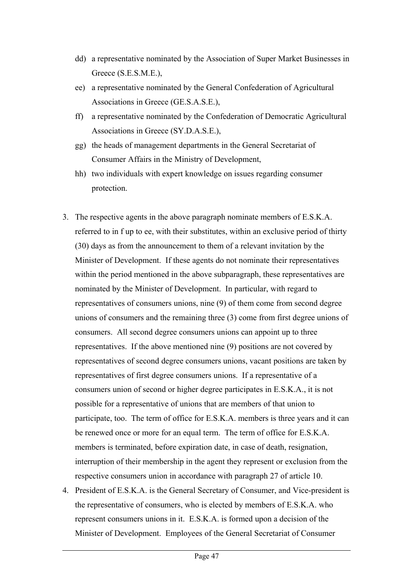- dd) a representative nominated by the Association of Super Market Businesses in Greece (S.E.S.M.E.),
- ee) a representative nominated by the General Confederation of Agricultural Associations in Greece (GE.S.A.S.E.),
- ff) a representative nominated by the Confederation of Democratic Agricultural Associations in Greece (SY.D.A.S.E.),
- gg) the heads of management departments in the General Secretariat of Consumer Affairs in the Ministry of Development,
- hh) two individuals with expert knowledge on issues regarding consumer protection.
- 3. The respective agents in the above paragraph nominate members of E.S.K.A. referred to in f up to ee, with their substitutes, within an exclusive period of thirty (30) days as from the announcement to them of a relevant invitation by the Minister of Development. If these agents do not nominate their representatives within the period mentioned in the above subparagraph, these representatives are nominated by the Minister of Development. In particular, with regard to representatives of consumers unions, nine (9) of them come from second degree unions of consumers and the remaining three (3) come from first degree unions of consumers. All second degree consumers unions can appoint up to three representatives. If the above mentioned nine (9) positions are not covered by representatives of second degree consumers unions, vacant positions are taken by representatives of first degree consumers unions. If a representative of a consumers union of second or higher degree participates in E.S.K.A., it is not possible for a representative of unions that are members of that union to participate, too. The term of office for E.S.K.A. members is three years and it can be renewed once or more for an equal term. The term of office for E.S.K.A. members is terminated, before expiration date, in case of death, resignation, interruption of their membership in the agent they represent or exclusion from the respective consumers union in accordance with paragraph 27 of article 10.
- 4. President of E.S.K.A. is the General Secretary of Consumer, and Vice-president is the representative of consumers, who is elected by members of E.S.K.A. who represent consumers unions in it. E.S.K.A. is formed upon a decision of the Minister of Development. Employees of the General Secretariat of Consumer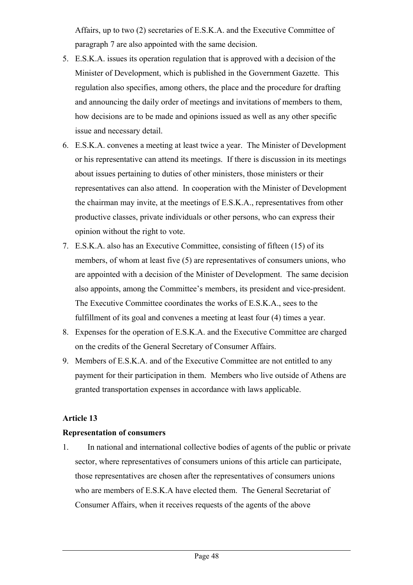Affairs, up to two (2) secretaries of E.S.K.A. and the Executive Committee of paragraph 7 are also appointed with the same decision.

- 5. E.S.K.A. issues its operation regulation that is approved with a decision of the Minister of Development, which is published in the Government Gazette. This regulation also specifies, among others, the place and the procedure for drafting and announcing the daily order of meetings and invitations of members to them, how decisions are to be made and opinions issued as well as any other specific issue and necessary detail.
- 6. E.S.K.A. convenes a meeting at least twice a year. The Minister of Development or his representative can attend its meetings. If there is discussion in its meetings about issues pertaining to duties of other ministers, those ministers or their representatives can also attend. In cooperation with the Minister of Development the chairman may invite, at the meetings of E.S.K.A., representatives from other productive classes, private individuals or other persons, who can express their opinion without the right to vote.
- 7. E.S.K.A. also has an Executive Committee, consisting of fifteen (15) of its members, of whom at least five (5) are representatives of consumers unions, who are appointed with a decision of the Minister of Development. The same decision also appoints, among the Committee's members, its president and vice-president. The Executive Committee coordinates the works of E.S.K.A., sees to the fulfillment of its goal and convenes a meeting at least four (4) times a year.
- 8. Expenses for the operation of E.S.K.A. and the Executive Committee are charged on the credits of the General Secretary of Consumer Affairs.
- 9. Members of E.S.K.A. and of the Executive Committee are not entitled to any payment for their participation in them. Members who live outside of Athens are granted transportation expenses in accordance with laws applicable.

## **Article 13**

#### **Representation of consumers**

1. In national and international collective bodies of agents of the public or private sector, where representatives of consumers unions of this article can participate, those representatives are chosen after the representatives of consumers unions who are members of E.S.K.A have elected them. The General Secretariat of Consumer Affairs, when it receives requests of the agents of the above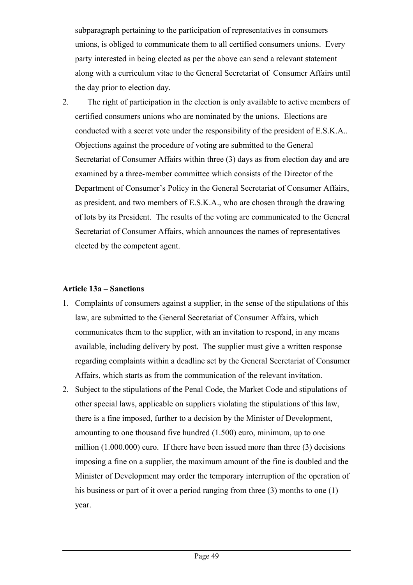subparagraph pertaining to the participation of representatives in consumers unions, is obliged to communicate them to all certified consumers unions. Every party interested in being elected as per the above can send a relevant statement along with a curriculum vitae to the General Secretariat of Consumer Affairs until the day prior to election day.

2. The right of participation in the election is only available to active members of certified consumers unions who are nominated by the unions. Elections are conducted with a secret vote under the responsibility of the president of E.S.K.A.. Objections against the procedure of voting are submitted to the General Secretariat of Consumer Affairs within three (3) days as from election day and are examined by a three-member committee which consists of the Director of the Department of Consumer's Policy in the General Secretariat of Consumer Affairs, as president, and two members of E.S.K.A., who are chosen through the drawing of lots by its President. The results of the voting are communicated to the General Secretariat of Consumer Affairs, which announces the names of representatives elected by the competent agent.

#### **Article 13a – Sanctions**

- 1. Complaints of consumers against a supplier, in the sense of the stipulations of this law, are submitted to the General Secretariat of Consumer Affairs, which communicates them to the supplier, with an invitation to respond, in any means available, including delivery by post. The supplier must give a written response regarding complaints within a deadline set by the General Secretariat of Consumer Affairs, which starts as from the communication of the relevant invitation.
- 2. Subject to the stipulations of the Penal Code, the Market Code and stipulations of other special laws, applicable on suppliers violating the stipulations of this law, there is a fine imposed, further to a decision by the Minister of Development, amounting to one thousand five hundred (1.500) euro, minimum, up to one million (1.000.000) euro. If there have been issued more than three (3) decisions imposing a fine on a supplier, the maximum amount of the fine is doubled and the Minister of Development may order the temporary interruption of the operation of his business or part of it over a period ranging from three (3) months to one (1) year.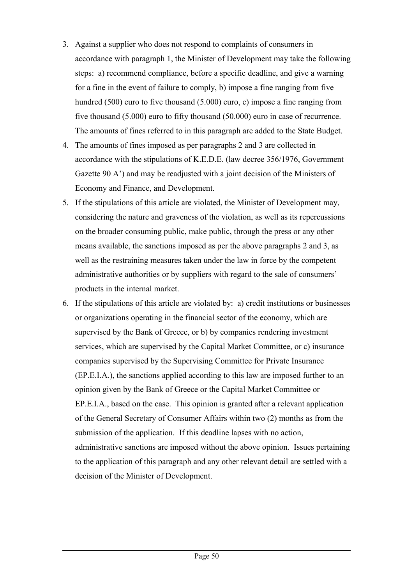- 3. Against a supplier who does not respond to complaints of consumers in accordance with paragraph 1, the Minister of Development may take the following steps: a) recommend compliance, before a specific deadline, and give a warning for a fine in the event of failure to comply, b) impose a fine ranging from five hundred (500) euro to five thousand (5.000) euro, c) impose a fine ranging from five thousand (5.000) euro to fifty thousand (50.000) euro in case of recurrence. The amounts of fines referred to in this paragraph are added to the State Budget.
- 4. The amounts of fines imposed as per paragraphs 2 and 3 are collected in accordance with the stipulations of K.E.D.E. (law decree 356/1976, Government Gazette 90 A') and may be readjusted with a joint decision of the Ministers of Economy and Finance, and Development.
- 5. If the stipulations of this article are violated, the Minister of Development may, considering the nature and graveness of the violation, as well as its repercussions on the broader consuming public, make public, through the press or any other means available, the sanctions imposed as per the above paragraphs 2 and 3, as well as the restraining measures taken under the law in force by the competent administrative authorities or by suppliers with regard to the sale of consumers' products in the internal market.
- 6. If the stipulations of this article are violated by: a) credit institutions or businesses or organizations operating in the financial sector of the economy, which are supervised by the Bank of Greece, or b) by companies rendering investment services, which are supervised by the Capital Market Committee, or c) insurance companies supervised by the Supervising Committee for Private Insurance (EP.E.I.A.), the sanctions applied according to this law are imposed further to an opinion given by the Bank of Greece or the Capital Market Committee or EP.E.I.A., based on the case. This opinion is granted after a relevant application of the General Secretary of Consumer Affairs within two (2) months as from the submission of the application. If this deadline lapses with no action, administrative sanctions are imposed without the above opinion. Issues pertaining to the application of this paragraph and any other relevant detail are settled with a decision of the Minister of Development.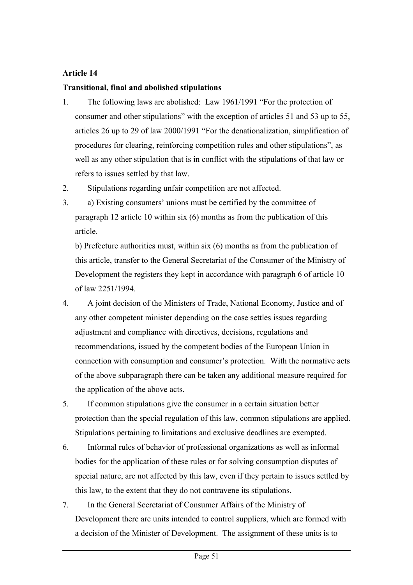## **Article 14**

#### **Transitional, final and abolished stipulations**

- 1. The following laws are abolished: Law 1961/1991 "For the protection of consumer and other stipulations" with the exception of articles 51 and 53 up to 55, articles 26 up to 29 of law 2000/1991 "For the denationalization, simplification of procedures for clearing, reinforcing competition rules and other stipulations", as well as any other stipulation that is in conflict with the stipulations of that law or refers to issues settled by that law.
- 2. Stipulations regarding unfair competition are not affected.
- 3. a) Existing consumers' unions must be certified by the committee of paragraph 12 article 10 within six (6) months as from the publication of this article.

b) Prefecture authorities must, within six (6) months as from the publication of this article, transfer to the General Secretariat of the Consumer of the Ministry of Development the registers they kept in accordance with paragraph 6 of article 10 of law 2251/1994.

- 4. A joint decision of the Ministers of Trade, National Economy, Justice and of any other competent minister depending on the case settles issues regarding adjustment and compliance with directives, decisions, regulations and recommendations, issued by the competent bodies of the European Union in connection with consumption and consumer's protection. With the normative acts of the above subparagraph there can be taken any additional measure required for the application of the above acts.
- 5. If common stipulations give the consumer in a certain situation better protection than the special regulation of this law, common stipulations are applied. Stipulations pertaining to limitations and exclusive deadlines are exempted.
- 6. Informal rules of behavior of professional organizations as well as informal bodies for the application of these rules or for solving consumption disputes of special nature, are not affected by this law, even if they pertain to issues settled by this law, to the extent that they do not contravene its stipulations.
- 7. In the General Secretariat of Consumer Affairs of the Ministry of Development there are units intended to control suppliers, which are formed with a decision of the Minister of Development. The assignment of these units is to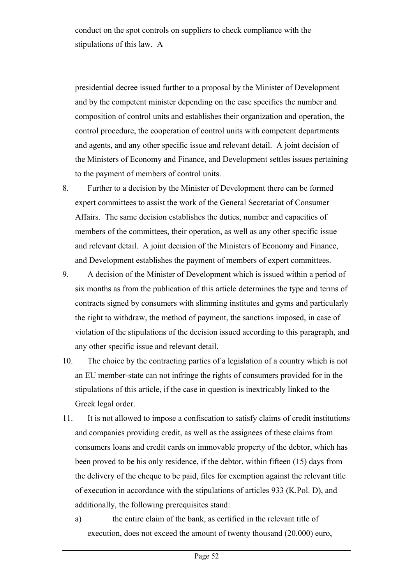conduct on the spot controls on suppliers to check compliance with the stipulations of this law. A

presidential decree issued further to a proposal by the Minister of Development and by the competent minister depending on the case specifies the number and composition of control units and establishes their organization and operation, the control procedure, the cooperation of control units with competent departments and agents, and any other specific issue and relevant detail. A joint decision of the Ministers of Economy and Finance, and Development settles issues pertaining to the payment of members of control units.

- 8. Further to a decision by the Minister of Development there can be formed expert committees to assist the work of the General Secretariat of Consumer Affairs. The same decision establishes the duties, number and capacities of members of the committees, their operation, as well as any other specific issue and relevant detail. A joint decision of the Ministers of Economy and Finance, and Development establishes the payment of members of expert committees.
- 9. A decision of the Minister of Development which is issued within a period of six months as from the publication of this article determines the type and terms of contracts signed by consumers with slimming institutes and gyms and particularly the right to withdraw, the method of payment, the sanctions imposed, in case of violation of the stipulations of the decision issued according to this paragraph, and any other specific issue and relevant detail.
- 10. The choice by the contracting parties of a legislation of a country which is not an EU member-state can not infringe the rights of consumers provided for in the stipulations of this article, if the case in question is inextricably linked to the Greek legal order.
- 11. It is not allowed to impose a confiscation to satisfy claims of credit institutions and companies providing credit, as well as the assignees of these claims from consumers loans and credit cards on immovable property of the debtor, which has been proved to be his only residence, if the debtor, within fifteen (15) days from the delivery of the cheque to be paid, files for exemption against the relevant title of execution in accordance with the stipulations of articles 933 (Κ.Pol. D), and additionally, the following prerequisites stand:
	- a) the entire claim of the bank, as certified in the relevant title of execution, does not exceed the amount of twenty thousand (20.000) euro,